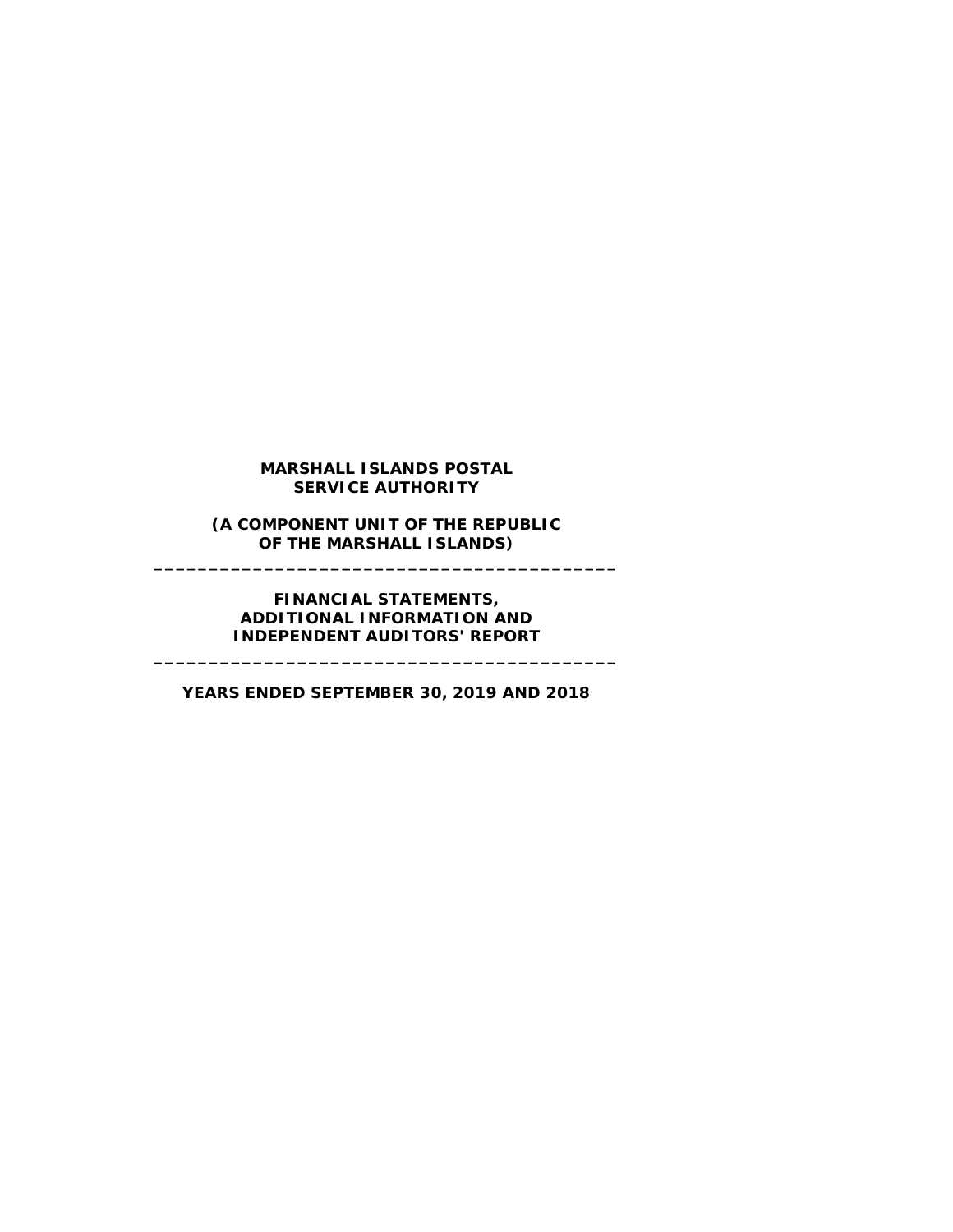**(A COMPONENT UNIT OF THE REPUBLIC OF THE MARSHALL ISLANDS) \_\_\_\_\_\_\_\_\_\_\_\_\_\_\_\_\_\_\_\_\_\_\_\_\_\_\_\_\_\_\_\_\_\_\_\_\_\_\_\_\_\_**

### **FINANCIAL STATEMENTS, ADDITIONAL INFORMATION AND INDEPENDENT AUDITORS' REPORT**

**\_\_\_\_\_\_\_\_\_\_\_\_\_\_\_\_\_\_\_\_\_\_\_\_\_\_\_\_\_\_\_\_\_\_\_\_\_\_\_\_\_\_**

**YEARS ENDED SEPTEMBER 30, 2019 AND 2018**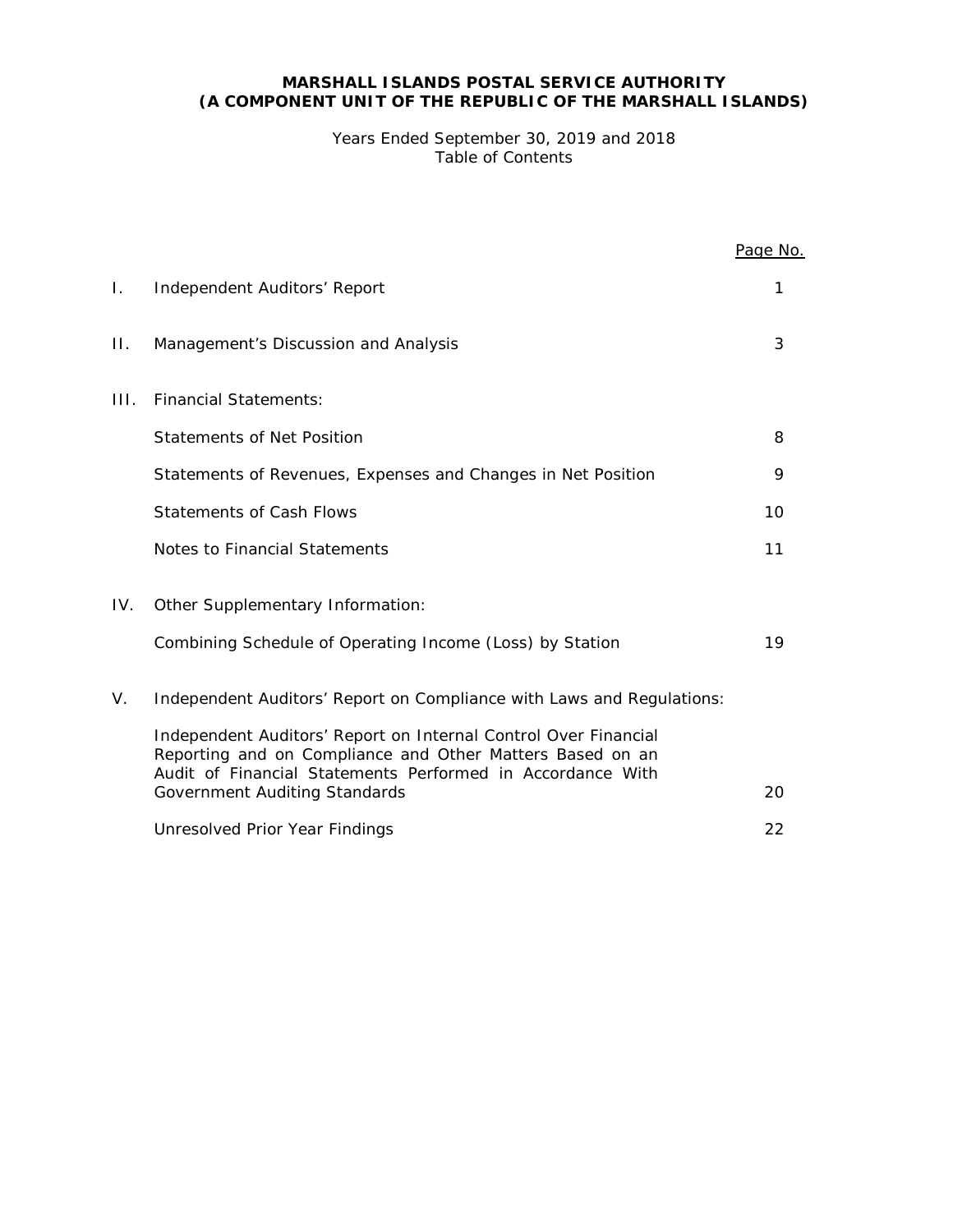# **MARSHALL ISLANDS POSTAL SERVICE AUTHORITY (A COMPONENT UNIT OF THE REPUBLIC OF THE MARSHALL ISLANDS)**

Years Ended September 30, 2019 and 2018 Table of Contents

|              |                                                                                                                                                                                            | Page No. |
|--------------|--------------------------------------------------------------------------------------------------------------------------------------------------------------------------------------------|----------|
| $\mathbf{L}$ | Independent Auditors' Report                                                                                                                                                               | 1        |
| Н.           | Management's Discussion and Analysis                                                                                                                                                       | 3        |
| HL.          | <b>Financial Statements:</b>                                                                                                                                                               |          |
|              | <b>Statements of Net Position</b>                                                                                                                                                          | 8        |
|              | Statements of Revenues, Expenses and Changes in Net Position                                                                                                                               | 9        |
|              | <b>Statements of Cash Flows</b>                                                                                                                                                            | 10       |
|              | Notes to Financial Statements                                                                                                                                                              | 11       |
| IV.          | Other Supplementary Information:                                                                                                                                                           |          |
|              | Combining Schedule of Operating Income (Loss) by Station                                                                                                                                   | 19       |
| V.           | Independent Auditors' Report on Compliance with Laws and Regulations:                                                                                                                      |          |
|              | Independent Auditors' Report on Internal Control Over Financial<br>Reporting and on Compliance and Other Matters Based on an<br>Audit of Financial Statements Performed in Accordance With |          |
|              | <b>Government Auditing Standards</b>                                                                                                                                                       | 20       |
|              | Unresolved Prior Year Findings                                                                                                                                                             | 22       |
|              |                                                                                                                                                                                            |          |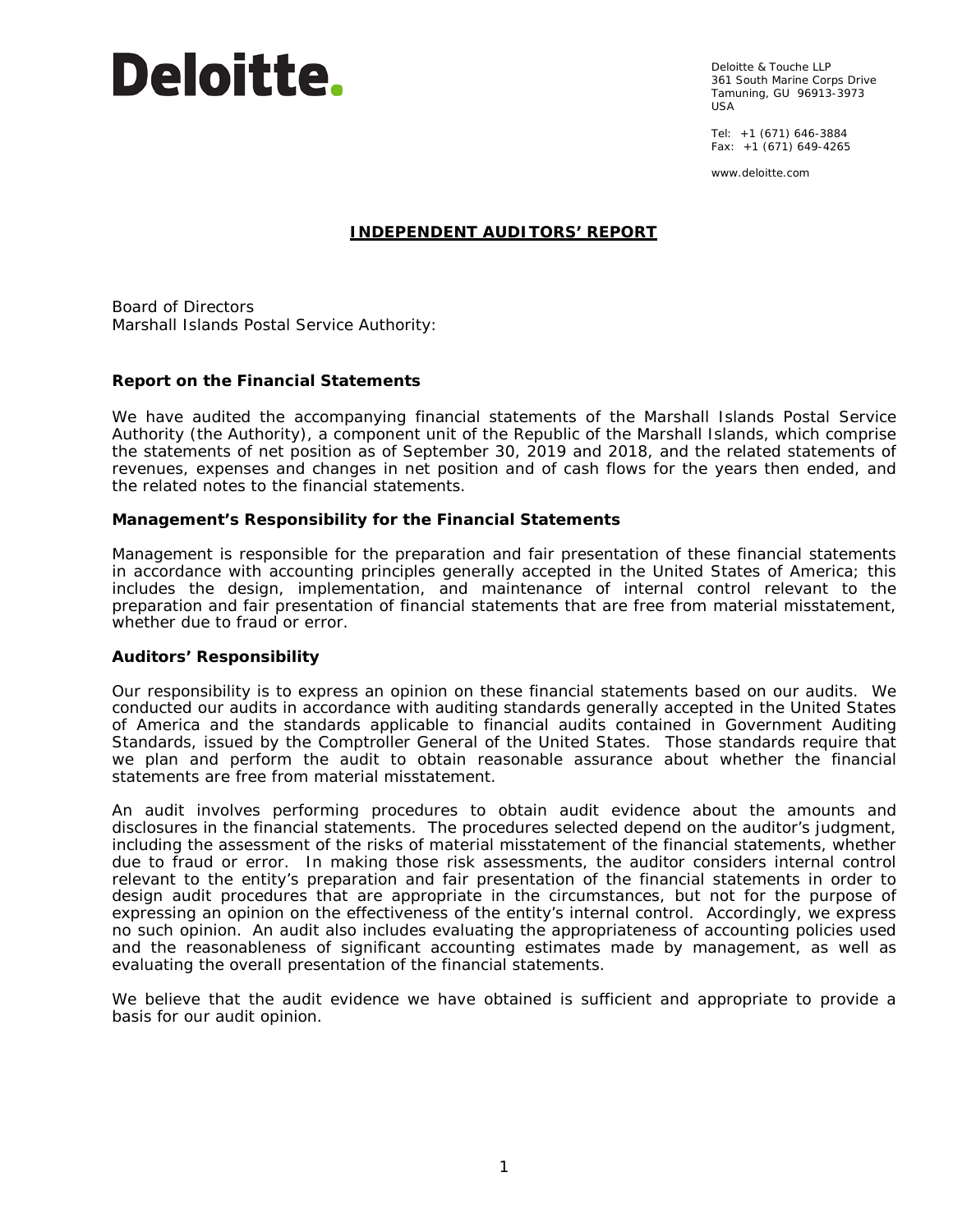

Deloitte & Touche LLP 361 South Marine Corps Drive Tamuning, GU 96913-3973 USA

Tel: +1 (671) 646-3884 Fax: +1 (671) 649-4265

www.deloitte.com

# **INDEPENDENT AUDITORS' REPORT**

Board of Directors Marshall Islands Postal Service Authority:

# **Report on the Financial Statements**

We have audited the accompanying financial statements of the Marshall Islands Postal Service Authority (the Authority), a component unit of the Republic of the Marshall Islands, which comprise the statements of net position as of September 30, 2019 and 2018, and the related statements of revenues, expenses and changes in net position and of cash flows for the years then ended, and the related notes to the financial statements.

#### *Management's Responsibility for the Financial Statements*

Management is responsible for the preparation and fair presentation of these financial statements in accordance with accounting principles generally accepted in the United States of America; this includes the design, implementation, and maintenance of internal control relevant to the preparation and fair presentation of financial statements that are free from material misstatement, whether due to fraud or error.

#### *Auditors' Responsibility*

Our responsibility is to express an opinion on these financial statements based on our audits. We conducted our audits in accordance with auditing standards generally accepted in the United States of America and the standards applicable to financial audits contained in *Government Auditing Standards,* issued by the Comptroller General of the United States. Those standards require that we plan and perform the audit to obtain reasonable assurance about whether the financial statements are free from material misstatement.

An audit involves performing procedures to obtain audit evidence about the amounts and disclosures in the financial statements. The procedures selected depend on the auditor's judgment, including the assessment of the risks of material misstatement of the financial statements, whether due to fraud or error. In making those risk assessments, the auditor considers internal control relevant to the entity's preparation and fair presentation of the financial statements in order to design audit procedures that are appropriate in the circumstances, but not for the purpose of expressing an opinion on the effectiveness of the entity's internal control. Accordingly, we express no such opinion. An audit also includes evaluating the appropriateness of accounting policies used and the reasonableness of significant accounting estimates made by management, as well as evaluating the overall presentation of the financial statements.

We believe that the audit evidence we have obtained is sufficient and appropriate to provide a basis for our audit opinion.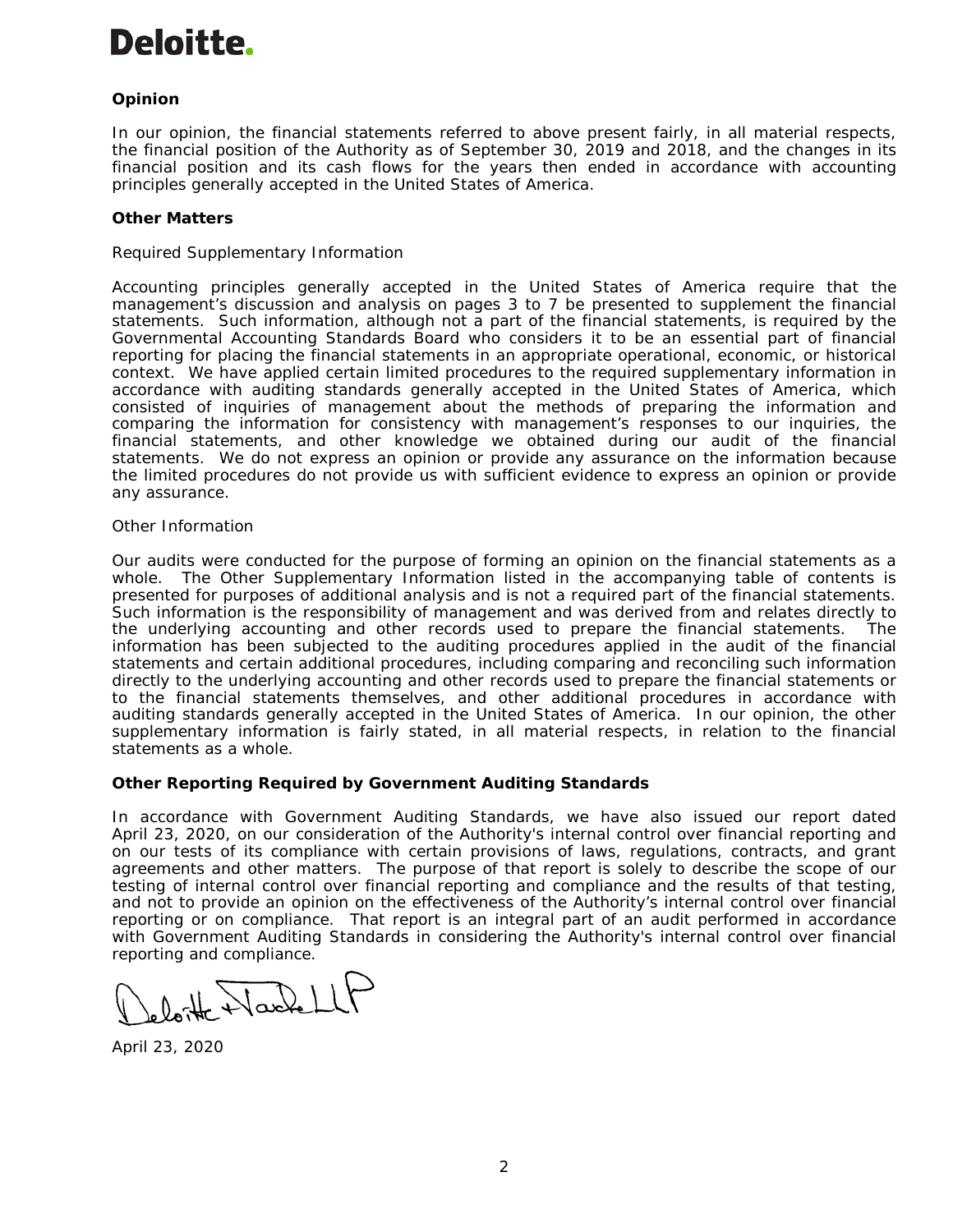# Deloitte.

# *Opinion*

In our opinion, the financial statements referred to above present fairly, in all material respects, the financial position of the Authority as of September 30, 2019 and 2018, and the changes in its financial position and its cash flows for the years then ended in accordance with accounting principles generally accepted in the United States of America.

# *Other Matters*

### *Required Supplementary Information*

Accounting principles generally accepted in the United States of America require that the management's discussion and analysis on pages 3 to 7 be presented to supplement the financial statements. Such information, although not a part of the financial statements, is required by the Governmental Accounting Standards Board who considers it to be an essential part of financial reporting for placing the financial statements in an appropriate operational, economic, or historical context. We have applied certain limited procedures to the required supplementary information in accordance with auditing standards generally accepted in the United States of America, which consisted of inquiries of management about the methods of preparing the information and comparing the information for consistency with management's responses to our inquiries, the financial statements, and other knowledge we obtained during our audit of the financial statements. We do not express an opinion or provide any assurance on the information because the limited procedures do not provide us with sufficient evidence to express an opinion or provide any assurance.

#### *Other Information*

Our audits were conducted for the purpose of forming an opinion on the financial statements as a whole. The Other Supplementary Information listed in the accompanying table of contents is presented for purposes of additional analysis and is not a required part of the financial statements. Such information is the responsibility of management and was derived from and relates directly to the underlying accounting and other records used to prepare the financial statements. The information has been subjected to the auditing procedures applied in the audit of the financial statements and certain additional procedures, including comparing and reconciling such information directly to the underlying accounting and other records used to prepare the financial statements or to the financial statements themselves, and other additional procedures in accordance with auditing standards generally accepted in the United States of America. In our opinion, the other supplementary information is fairly stated, in all material respects, in relation to the financial statements as a whole.

# **Other Reporting Required by** *Government Auditing Standards*

In accordance with *Government Auditing Standards*, we have also issued our report dated April 23, 2020, on our consideration of the Authority's internal control over financial reporting and on our tests of its compliance with certain provisions of laws, regulations, contracts, and grant agreements and other matters. The purpose of that report is solely to describe the scope of our testing of internal control over financial reporting and compliance and the results of that testing, and not to provide an opinion on the effectiveness of the Authority's internal control over financial reporting or on compliance. That report is an integral part of an audit performed in accordance with *Government Auditing Standards* in considering the Authority's internal control over financial reporting and compliance.

Harlell

April 23, 2020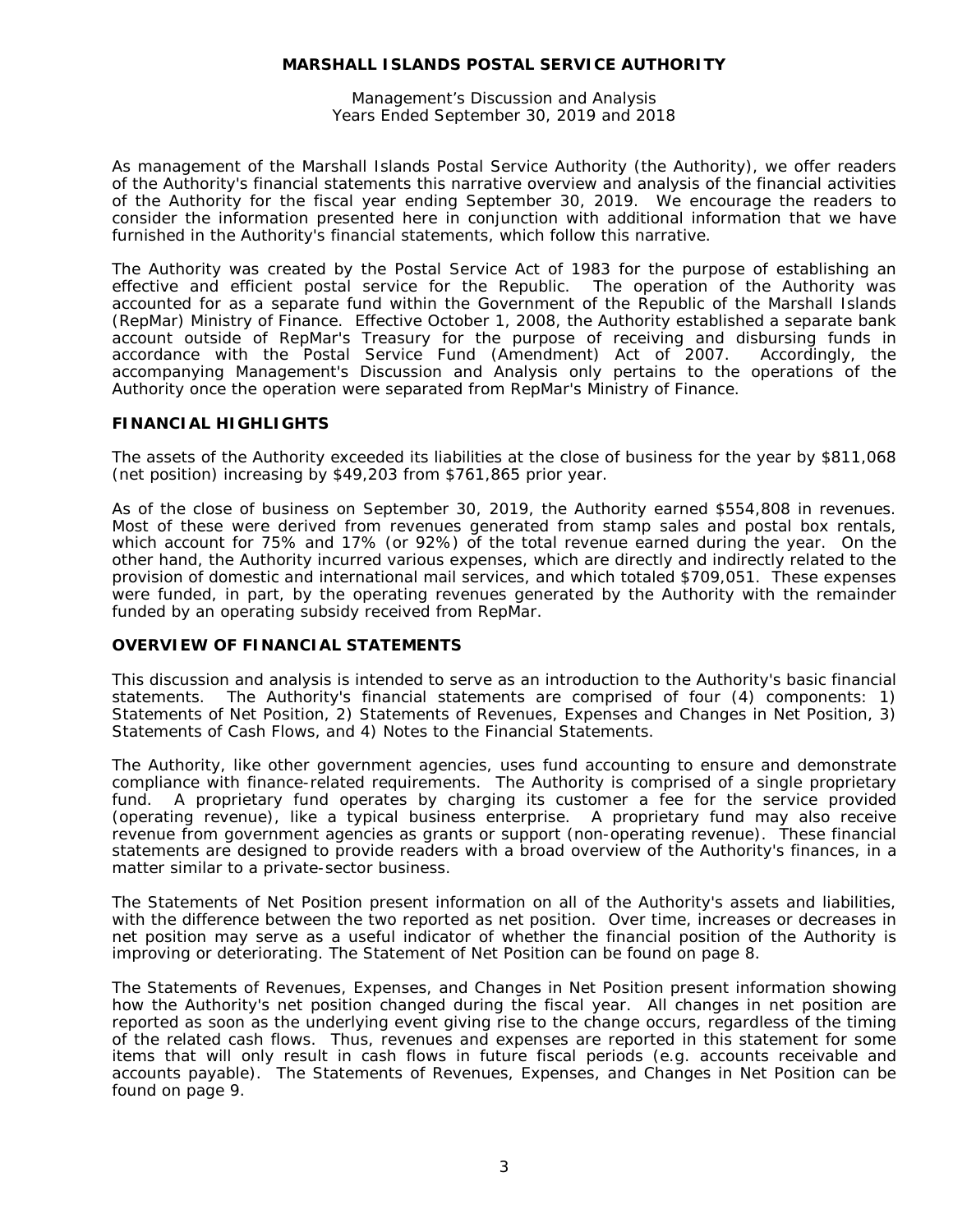Management's Discussion and Analysis Years Ended September 30, 2019 and 2018

As management of the Marshall Islands Postal Service Authority (the Authority), we offer readers of the Authority's financial statements this narrative overview and analysis of the financial activities of the Authority for the fiscal year ending September 30, 2019. We encourage the readers to consider the information presented here in conjunction with additional information that we have furnished in the Authority's financial statements, which follow this narrative.

The Authority was created by the Postal Service Act of 1983 for the purpose of establishing an effective and efficient postal service for the Republic. The operation of the Authority was accounted for as a separate fund within the Government of the Republic of the Marshall Islands (RepMar) Ministry of Finance. Effective October 1, 2008, the Authority established a separate bank account outside of RepMar's Treasury for the purpose of receiving and disbursing funds in accordance with the Postal Service Fund (Amendment) Act of 2007. Accordingly, the accompanying Management's Discussion and Analysis only pertains to the operations of the Authority once the operation were separated from RepMar's Ministry of Finance.

# **FINANCIAL HIGHLIGHTS**

The assets of the Authority exceeded its liabilities at the close of business for the year by \$811,068 (net position) increasing by \$49,203 from \$761,865 prior year.

As of the close of business on September 30, 2019, the Authority earned \$554,808 in revenues. Most of these were derived from revenues generated from stamp sales and postal box rentals, which account for 75% and 17% (or 92%) of the total revenue earned during the year. On the other hand, the Authority incurred various expenses, which are directly and indirectly related to the provision of domestic and international mail services, and which totaled \$709,051. These expenses were funded, in part, by the operating revenues generated by the Authority with the remainder funded by an operating subsidy received from RepMar.

#### **OVERVIEW OF FINANCIAL STATEMENTS**

This discussion and analysis is intended to serve as an introduction to the Authority's basic financial statements. The Authority's financial statements are comprised of four (4) components: 1) Statements of Net Position, 2) Statements of Revenues, Expenses and Changes in Net Position, 3) Statements of Cash Flows, and 4) Notes to the Financial Statements.

The Authority, like other government agencies, uses fund accounting to ensure and demonstrate compliance with finance-related requirements. The Authority is comprised of a single proprietary fund. A proprietary fund operates by charging its customer a fee for the service provided (operating revenue), like a typical business enterprise. A proprietary fund may also receive revenue from government agencies as grants or support (non-operating revenue). These financial statements are designed to provide readers with a broad overview of the Authority's finances, in a matter similar to a private-sector business.

The Statements of Net Position present information on all of the Authority's assets and liabilities, with the difference between the two reported as net position. Over time, increases or decreases in net position may serve as a useful indicator of whether the financial position of the Authority is improving or deteriorating. The Statement of Net Position can be found on page 8.

The Statements of Revenues, Expenses, and Changes in Net Position present information showing how the Authority's net position changed during the fiscal year. All changes in net position are reported as soon as the underlying event giving rise to the change occurs, regardless of the timing of the related cash flows. Thus, revenues and expenses are reported in this statement for some items that will only result in cash flows in future fiscal periods (e.g. accounts receivable and accounts payable). The Statements of Revenues, Expenses, and Changes in Net Position can be found on page 9.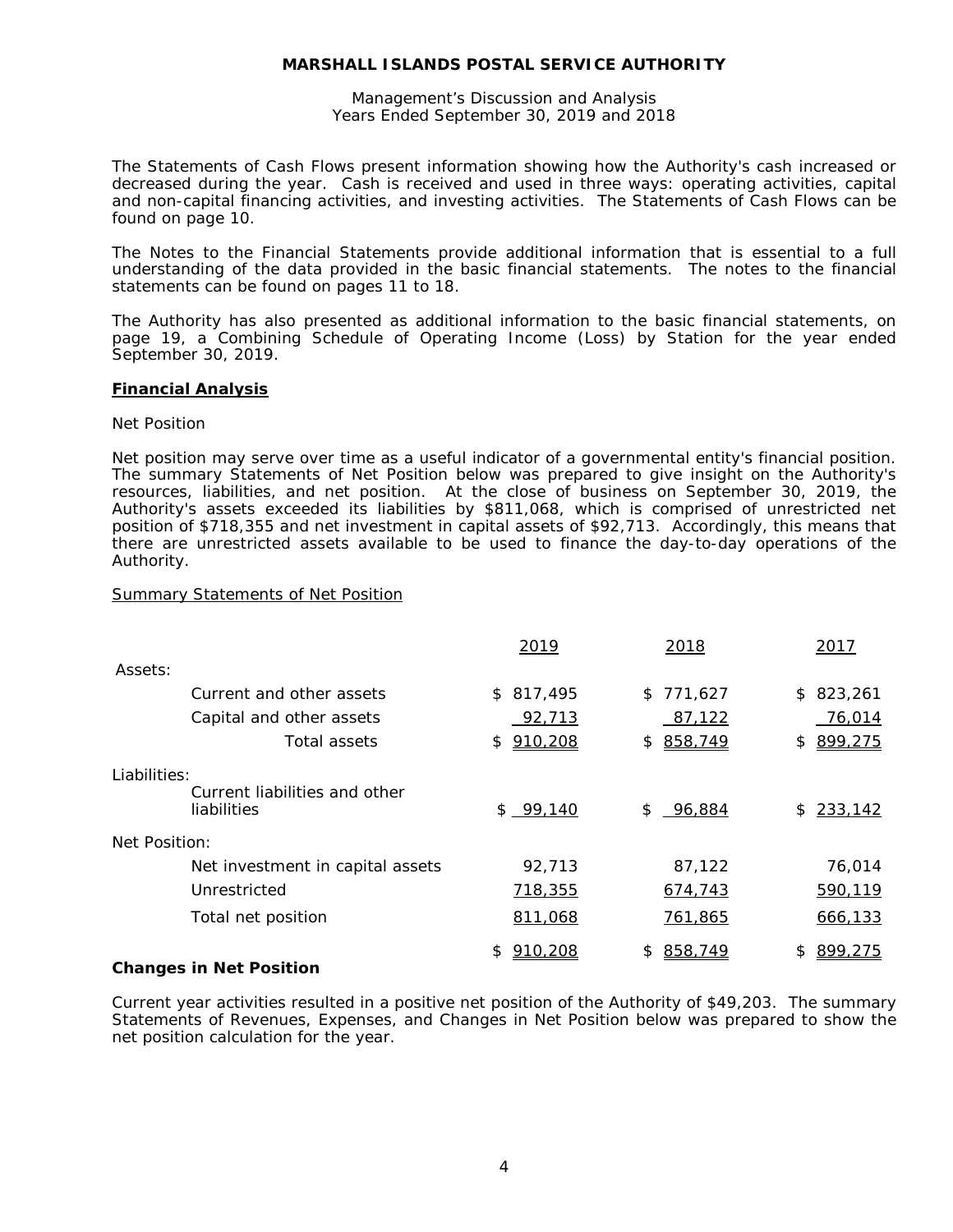Management's Discussion and Analysis Years Ended September 30, 2019 and 2018

The Statements of Cash Flows present information showing how the Authority's cash increased or decreased during the year. Cash is received and used in three ways: operating activities, capital and non-capital financing activities, and investing activities. The Statements of Cash Flows can be found on page 10.

The Notes to the Financial Statements provide additional information that is essential to a full understanding of the data provided in the basic financial statements. The notes to the financial statements can be found on pages 11 to 18.

The Authority has also presented as additional information to the basic financial statements, on page 19, a Combining Schedule of Operating Income (Loss) by Station for the year ended September 30, 2019.

# **Financial Analysis**

#### Net Position

Net position may serve over time as a useful indicator of a governmental entity's financial position. The summary Statements of Net Position below was prepared to give insight on the Authority's resources, liabilities, and net position. At the close of business on September 30, 2019, the Authority's assets exceeded its liabilities by \$811,068, which is comprised of unrestricted net position of \$718,355 and net investment in capital assets of \$92,713. Accordingly, this means that there are unrestricted assets available to be used to finance the day-to-day operations of the Authority.

#### Summary Statements of Net Position

|                                              | 2019          | 2018          | 2017          |
|----------------------------------------------|---------------|---------------|---------------|
| Assets:                                      |               |               |               |
| Current and other assets                     | \$817,495     | \$771,627     | \$823,261     |
| Capital and other assets                     | 92,713        | 87,122        | 76,014        |
| Total assets                                 | 910,208<br>\$ | 858,749<br>S. | 899,275<br>\$ |
| Liabilities:                                 |               |               |               |
| Current liabilities and other<br>liabilities | \$99,140      | 96,884<br>\$  | 233,142<br>S. |
| Net Position:                                |               |               |               |
| Net investment in capital assets             | 92,713        | 87,122        | 76,014        |
| Unrestricted                                 | 718,355       | 674,743       | 590,119       |
| Total net position                           | 811,068       | 761,865       | 666,133       |
| <b>Changes in Net Position</b>               | 910,208<br>\$ | 858,749<br>\$ | 899,275<br>\$ |

Current year activities resulted in a positive net position of the Authority of \$49,203. The summary Statements of Revenues, Expenses, and Changes in Net Position below was prepared to show the net position calculation for the year.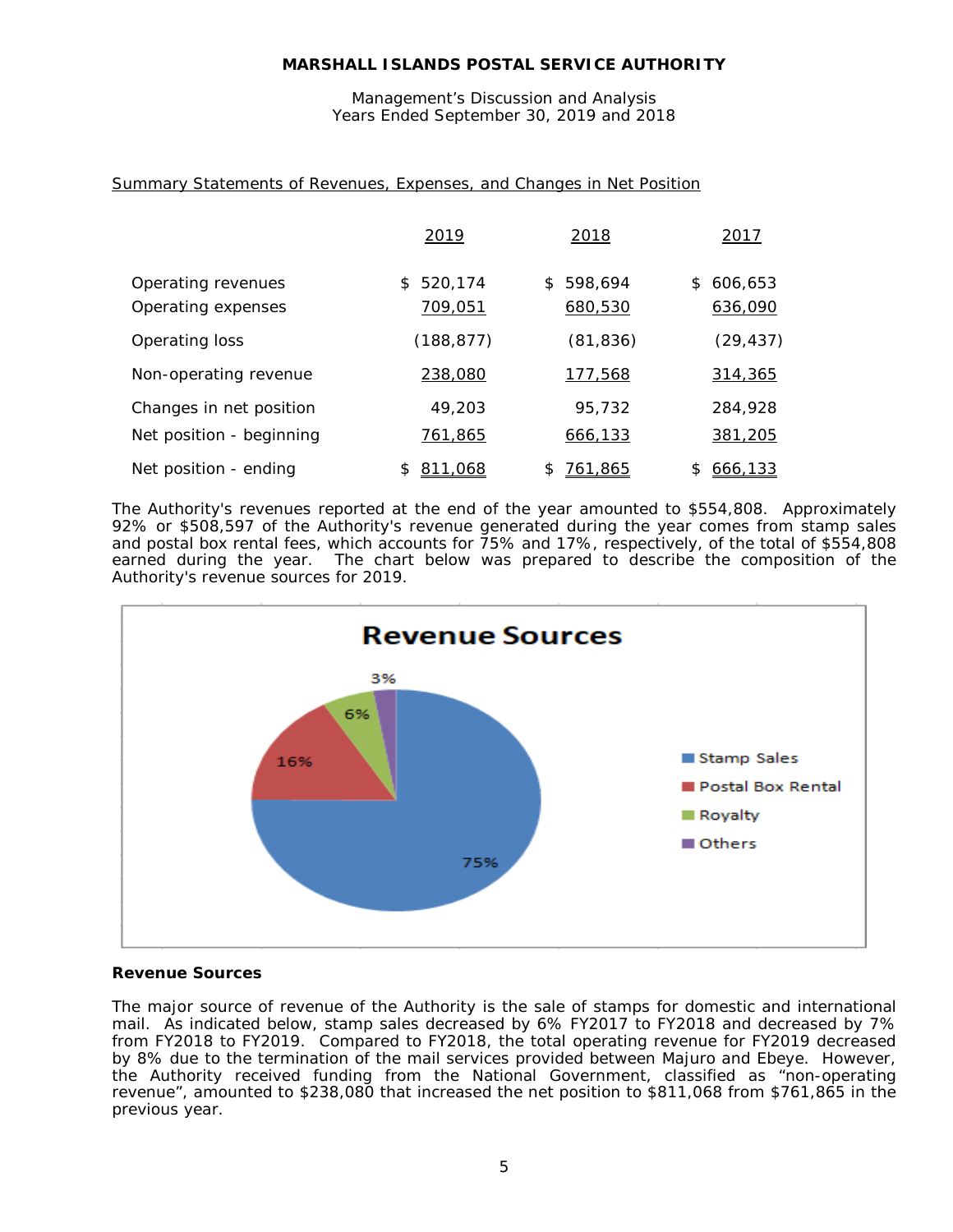Management's Discussion and Analysis Years Ended September 30, 2019 and 2018

Summary Statements of Revenues, Expenses, and Changes in Net Position

|                                                     | <u>2019</u>              | 2018                     | 2017                      |
|-----------------------------------------------------|--------------------------|--------------------------|---------------------------|
| Operating revenues<br>Operating expenses            | 520,174<br>\$<br>709,051 | \$598.694<br>680,530     | 606,653<br>\$<br>636,090  |
| Operating loss                                      | (188, 877)               | (81, 836)                | (29, 437)                 |
| Non-operating revenue                               | 238,080                  | 177,568                  | <u>314,365</u>            |
| Changes in net position<br>Net position - beginning | 49,203<br><u>761,865</u> | 95,732<br><u>666,133</u> | 284,928<br><u>381,205</u> |
| Net position - ending                               | \$<br>811,068            | 761,865<br>S.            | 666,133                   |

The Authority's revenues reported at the end of the year amounted to \$554,808. Approximately 92% or \$508,597 of the Authority's revenue generated during the year comes from stamp sales and postal box rental fees, which accounts for 75% and 17%, respectively, of the total of \$554,808 earned during the year. The chart below was prepared to describe the composition of the Authority's revenue sources for 2019.



#### **Revenue Sources**

The major source of revenue of the Authority is the sale of stamps for domestic and international mail. As indicated below, stamp sales decreased by 6% FY2017 to FY2018 and decreased by 7% from FY2018 to FY2019. Compared to FY2018, the total operating revenue for FY2019 decreased by 8% due to the termination of the mail services provided between Majuro and Ebeye. However, the Authority received funding from the National Government, classified as "non-operating revenue", amounted to \$238,080 that increased the net position to \$811,068 from \$761,865 in the previous year.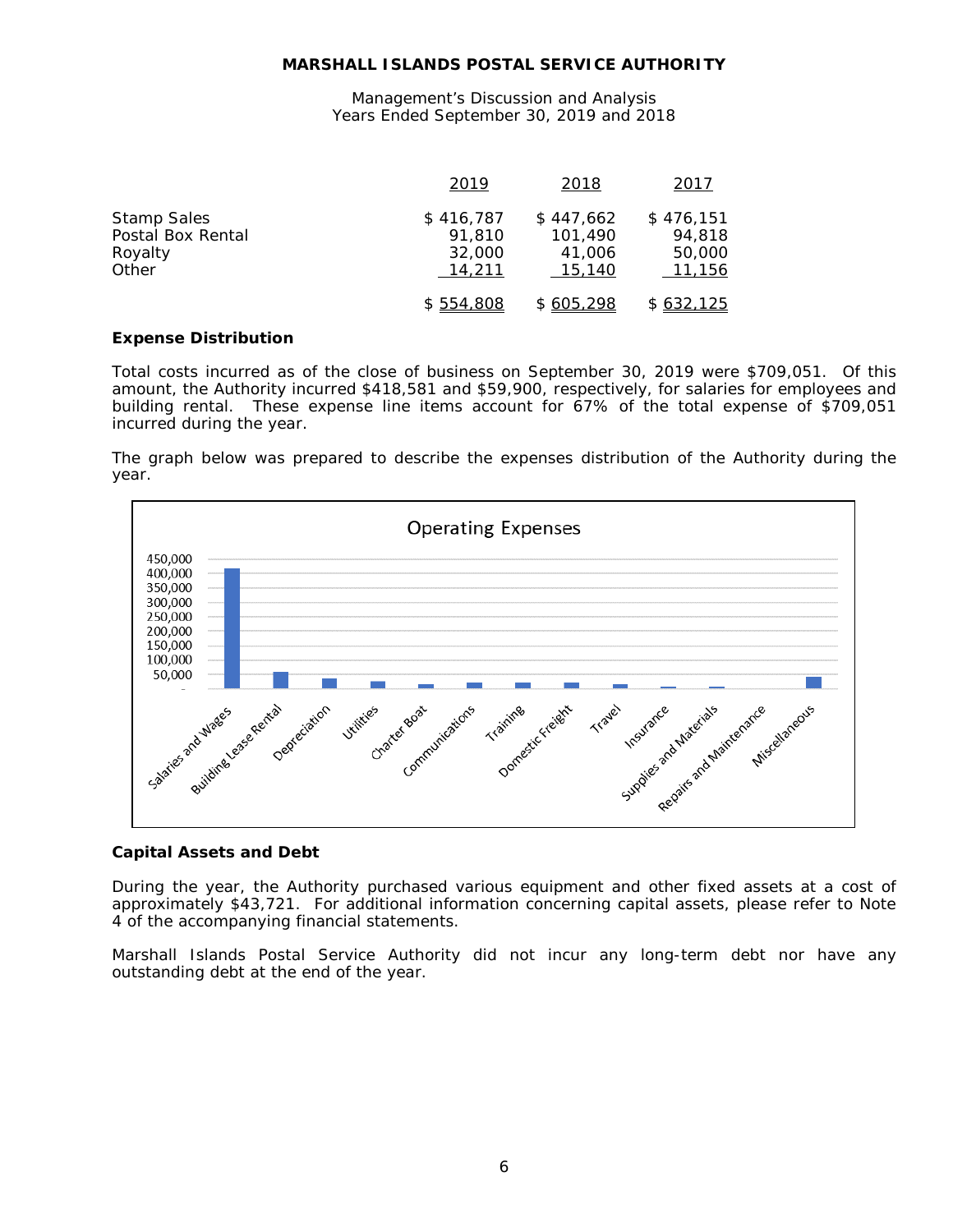Management's Discussion and Analysis Years Ended September 30, 2019 and 2018

|                                                             | 2019                                    | 2018                                     | 2017                                    |
|-------------------------------------------------------------|-----------------------------------------|------------------------------------------|-----------------------------------------|
| <b>Stamp Sales</b><br>Postal Box Rental<br>Royalty<br>Other | \$416,787<br>91,810<br>32,000<br>14,211 | \$447.662<br>101,490<br>41,006<br>15,140 | \$476,151<br>94.818<br>50,000<br>11,156 |
|                                                             | \$554,808                               | \$605,298                                | \$632,125                               |

# **Expense Distribution**

Total costs incurred as of the close of business on September 30, 2019 were \$709,051. Of this amount, the Authority incurred \$418,581 and \$59,900, respectively, for salaries for employees and building rental. These expense line items account for 67% of the total expense of \$709,051 incurred during the year.

The graph below was prepared to describe the expenses distribution of the Authority during the year.



# **Capital Assets and Debt**

During the year, the Authority purchased various equipment and other fixed assets at a cost of approximately \$43,721. For additional information concerning capital assets, please refer to Note 4 of the accompanying financial statements.

Marshall Islands Postal Service Authority did not incur any long-term debt nor have any outstanding debt at the end of the year.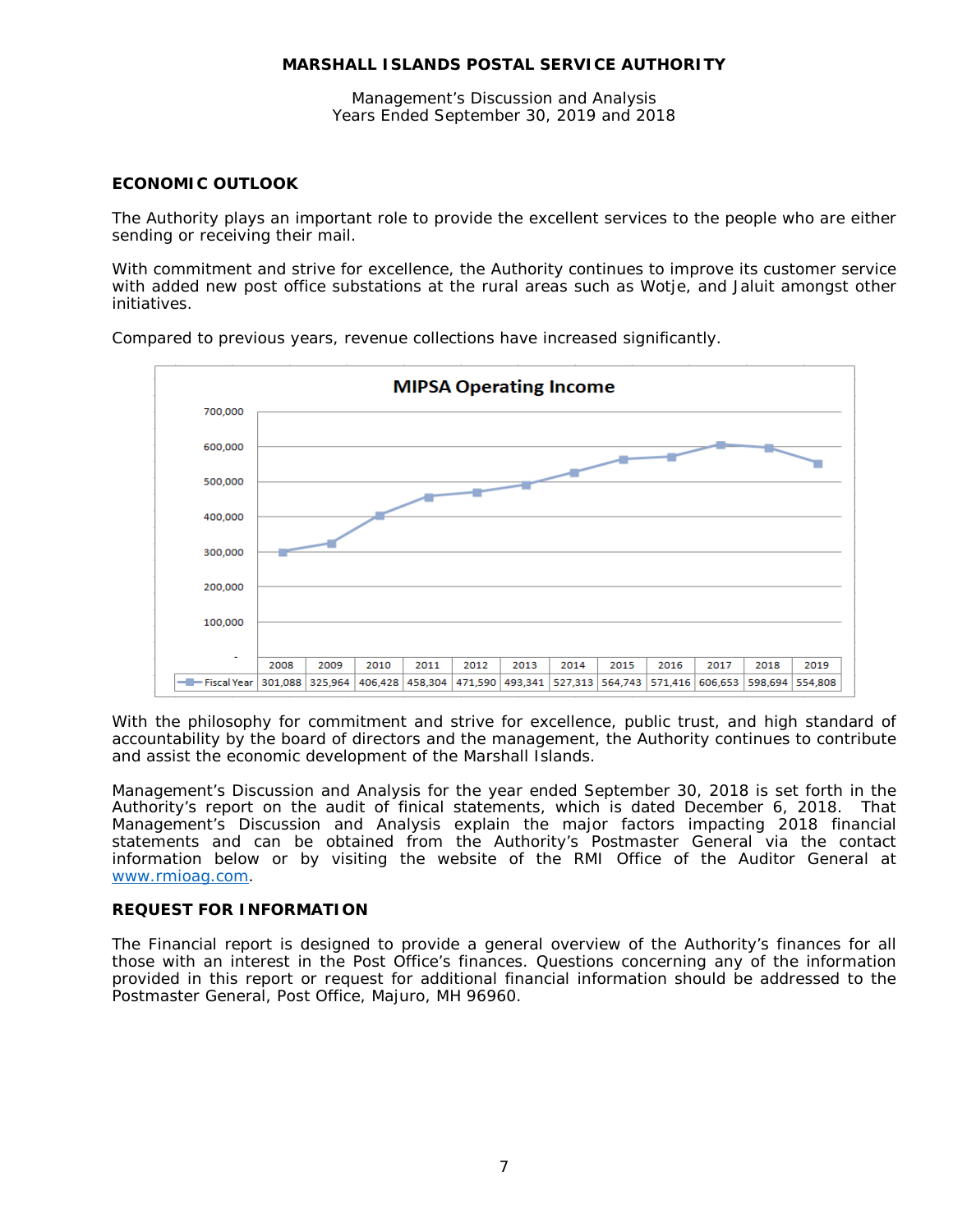Management's Discussion and Analysis Years Ended September 30, 2019 and 2018

# **ECONOMIC OUTLOOK**

The Authority plays an important role to provide the excellent services to the people who are either sending or receiving their mail.

With commitment and strive for excellence, the Authority continues to improve its customer service with added new post office substations at the rural areas such as Wotje, and Jaluit amongst other initiatives.

**MIPSA Operating Income** 700,000 600,000 500,000 400.000 300,000 200,000 100,000 2008 2009 2010 2011 2012 2013 2014 2015 2016 2017 2018 2019 Trivial Year 301,088 325,964 406,428 458,304 471,590 493,341 527,313 564,743 571,416 606,653 598,694 554,808

Compared to previous years, revenue collections have increased significantly.

With the philosophy for commitment and strive for excellence, public trust, and high standard of accountability by the board of directors and the management, the Authority continues to contribute and assist the economic development of the Marshall Islands.

Management's Discussion and Analysis for the year ended September 30, 2018 is set forth in the Authority's report on the audit of finical statements, which is dated December 6, 2018. That Management's Discussion and Analysis explain the major factors impacting 2018 financial statements and can be obtained from the Authority's Postmaster General via the contact information below or by visiting the website of the RMI Office of the Auditor General at [www.rmioag.com.](http://www.rmioag.com/)

# **REQUEST FOR INFORMATION**

The Financial report is designed to provide a general overview of the Authority's finances for all those with an interest in the Post Office's finances. Questions concerning any of the information provided in this report or request for additional financial information should be addressed to the Postmaster General, Post Office, Majuro, MH 96960.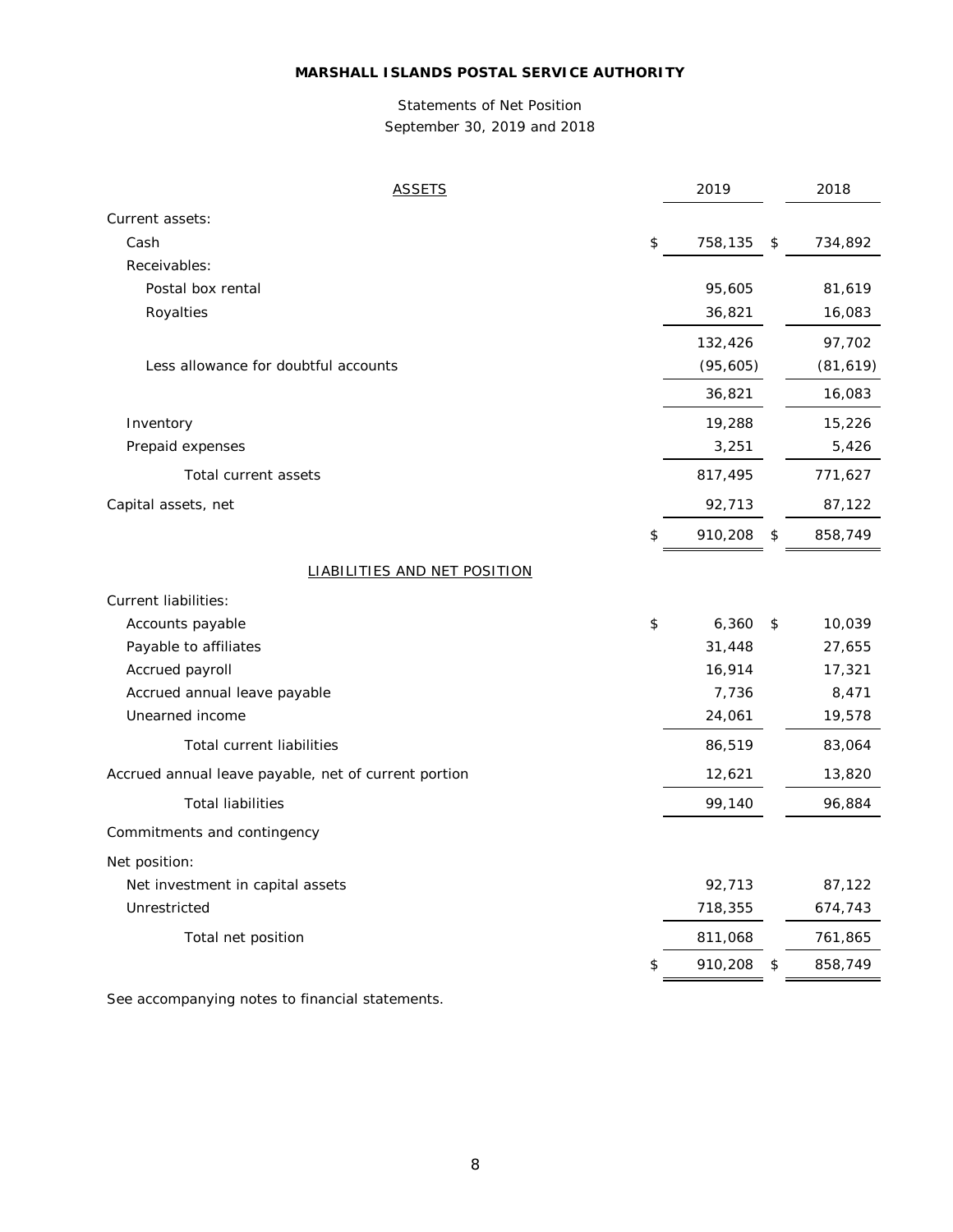# Statements of Net Position September 30, 2019 and 2018

| <u>ASSETS</u>                                        | 2019          | 2018          |
|------------------------------------------------------|---------------|---------------|
| Current assets:                                      |               |               |
| Cash                                                 | \$<br>758,135 | \$<br>734,892 |
| Receivables:                                         |               |               |
| Postal box rental                                    | 95,605        | 81,619        |
| Royalties                                            | 36,821        | 16,083        |
|                                                      | 132,426       | 97,702        |
| Less allowance for doubtful accounts                 | (95, 605)     | (81, 619)     |
|                                                      | 36,821        | 16,083        |
| Inventory                                            | 19,288        | 15,226        |
| Prepaid expenses                                     | 3,251         | 5,426         |
| Total current assets                                 | 817,495       | 771,627       |
| Capital assets, net                                  | 92,713        | 87,122        |
|                                                      | \$<br>910,208 | \$<br>858,749 |
| <u>LIABILITIES AND NET POSITION</u>                  |               |               |
| <b>Current liabilities:</b>                          |               |               |
| Accounts payable                                     | \$<br>6,360   | \$<br>10,039  |
| Payable to affiliates                                | 31,448        | 27,655        |
| Accrued payroll                                      | 16,914        | 17,321        |
| Accrued annual leave payable                         | 7,736         | 8,471         |
| Unearned income                                      | 24,061        | 19,578        |
| <b>Total current liabilities</b>                     | 86,519        | 83,064        |
| Accrued annual leave payable, net of current portion | 12,621        | 13,820        |
| <b>Total liabilities</b>                             | 99,140        | 96,884        |
| Commitments and contingency                          |               |               |
| Net position:                                        |               |               |
| Net investment in capital assets                     | 92,713        | 87,122        |
| Unrestricted                                         | 718,355       | 674,743       |
| Total net position                                   | 811,068       | 761,865       |
|                                                      | \$<br>910,208 | \$<br>858,749 |

See accompanying notes to financial statements.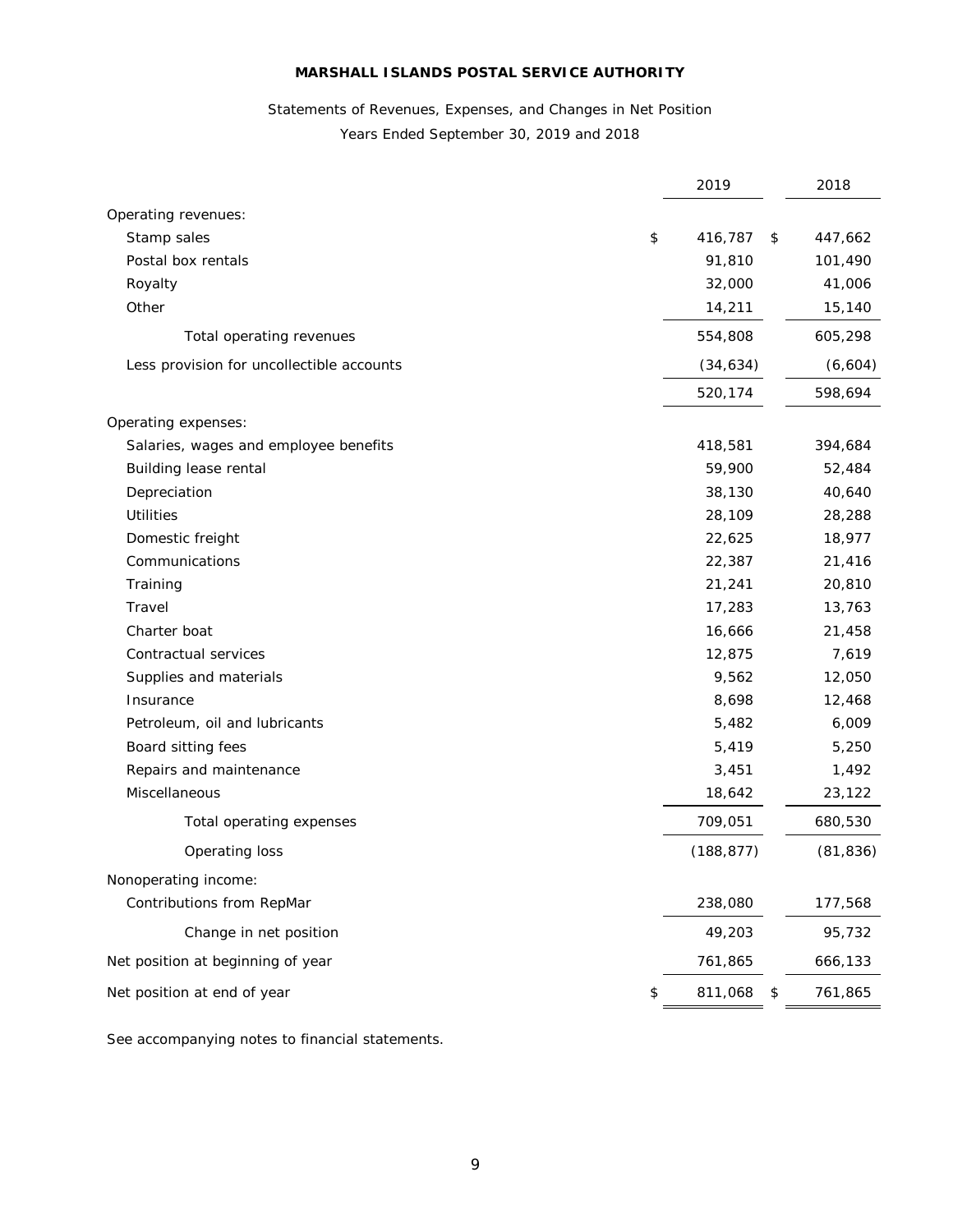# Statements of Revenues, Expenses, and Changes in Net Position

Years Ended September 30, 2019 and 2018

|                                           | 2019       | 2018          |
|-------------------------------------------|------------|---------------|
| Operating revenues:                       |            |               |
| \$<br>Stamp sales                         | 416,787    | \$<br>447,662 |
| Postal box rentals                        | 91,810     | 101,490       |
| Royalty                                   | 32,000     | 41,006        |
| Other                                     | 14,211     | 15,140        |
| Total operating revenues                  | 554,808    | 605,298       |
| Less provision for uncollectible accounts | (34, 634)  | (6,604)       |
|                                           | 520,174    | 598,694       |
| Operating expenses:                       |            |               |
| Salaries, wages and employee benefits     | 418,581    | 394,684       |
| Building lease rental                     | 59,900     | 52,484        |
| Depreciation                              | 38,130     | 40,640        |
| <b>Utilities</b>                          | 28,109     | 28,288        |
| Domestic freight                          | 22,625     | 18,977        |
| Communications                            | 22,387     | 21,416        |
| Training                                  | 21,241     | 20,810        |
| Travel                                    | 17,283     | 13,763        |
| Charter boat                              | 16,666     | 21,458        |
| Contractual services                      | 12,875     | 7,619         |
| Supplies and materials                    | 9,562      | 12,050        |
| Insurance                                 | 8,698      | 12,468        |
| Petroleum, oil and lubricants             | 5,482      | 6,009         |
| Board sitting fees                        | 5,419      | 5,250         |
| Repairs and maintenance                   | 3,451      | 1,492         |
| Miscellaneous                             | 18,642     | 23,122        |
| Total operating expenses                  | 709,051    | 680,530       |
| Operating loss                            | (188, 877) | (81, 836)     |
| Nonoperating income:                      |            |               |
| Contributions from RepMar                 | 238,080    | 177,568       |
| Change in net position                    | 49,203     | 95,732        |
| Net position at beginning of year         | 761,865    | 666,133       |
| Net position at end of year<br>\$         | 811,068    | \$<br>761,865 |

See accompanying notes to financial statements.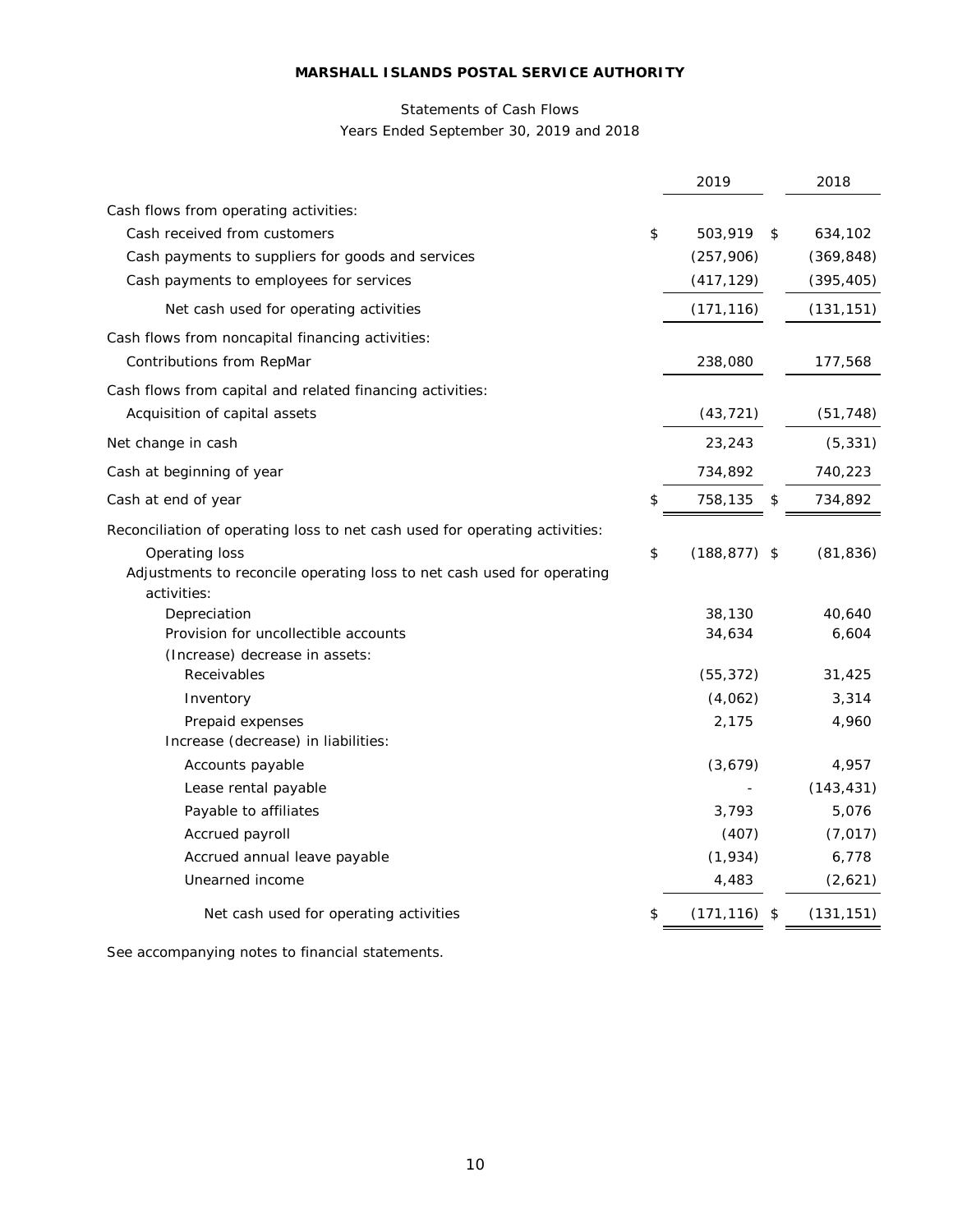# Statements of Cash Flows Years Ended September 30, 2019 and 2018

|                                                                             |    | 2019            | 2018             |
|-----------------------------------------------------------------------------|----|-----------------|------------------|
| Cash flows from operating activities:                                       |    |                 |                  |
| Cash received from customers                                                | \$ | 503,919         | \$<br>634,102    |
| Cash payments to suppliers for goods and services                           |    | (257, 906)      | (369, 848)       |
| Cash payments to employees for services                                     |    | (417, 129)      | (395, 405)       |
| Net cash used for operating activities                                      |    | (171, 116)      | (131, 151)       |
| Cash flows from noncapital financing activities:                            |    |                 |                  |
| Contributions from RepMar                                                   |    | 238,080         | 177,568          |
| Cash flows from capital and related financing activities:                   |    |                 |                  |
| Acquisition of capital assets                                               |    | (43, 721)       | (51, 748)        |
| Net change in cash                                                          |    | 23,243          | (5, 331)         |
| Cash at beginning of year                                                   |    | 734,892         | 740,223          |
| Cash at end of year                                                         | \$ | 758,135         | \$<br>734,892    |
| Reconciliation of operating loss to net cash used for operating activities: |    |                 |                  |
| Operating loss                                                              | \$ | $(188, 877)$ \$ | (81, 836)        |
| Adjustments to reconcile operating loss to net cash used for operating      |    |                 |                  |
| activities:                                                                 |    |                 |                  |
| Depreciation                                                                |    | 38,130          | 40,640           |
| Provision for uncollectible accounts<br>(Increase) decrease in assets:      |    | 34,634          | 6,604            |
| Receivables                                                                 |    | (55, 372)       | 31,425           |
| Inventory                                                                   |    | (4,062)         | 3,314            |
| Prepaid expenses                                                            |    | 2,175           | 4,960            |
| Increase (decrease) in liabilities:                                         |    |                 |                  |
| Accounts payable                                                            |    | (3,679)         | 4,957            |
| Lease rental payable                                                        |    |                 | (143, 431)       |
| Payable to affiliates                                                       |    | 3,793           | 5,076            |
| Accrued payroll                                                             |    | (407)           | (7, 017)         |
| Accrued annual leave payable                                                |    | (1,934)         | 6,778            |
| Unearned income                                                             |    | 4,483           | (2,621)          |
| Net cash used for operating activities                                      | S  | (171, 116)      | \$<br>(131, 151) |
|                                                                             |    |                 |                  |

See accompanying notes to financial statements.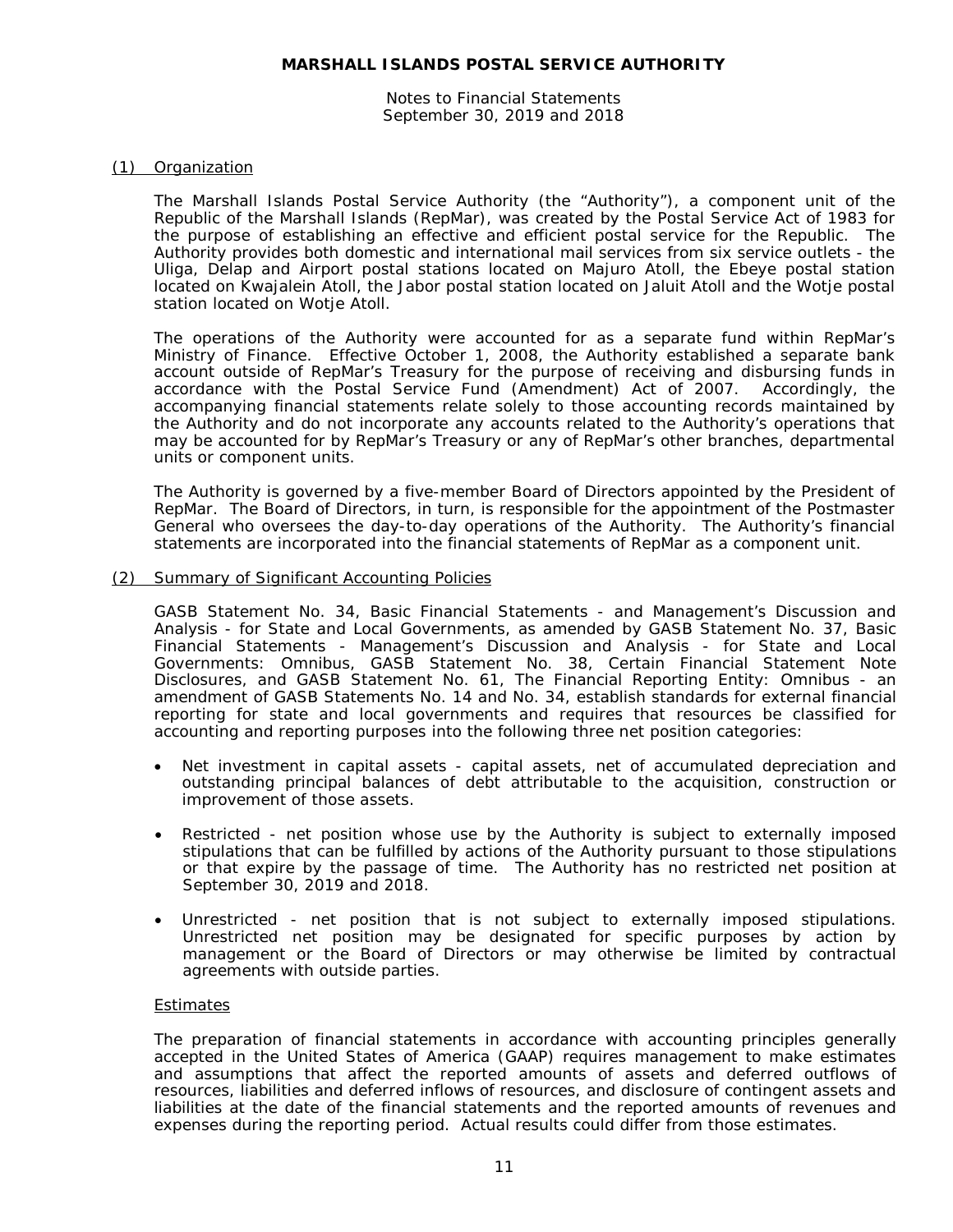Notes to Financial Statements September 30, 2019 and 2018

#### (1) Organization

The Marshall Islands Postal Service Authority (the "Authority"), a component unit of the Republic of the Marshall Islands (RepMar), was created by the Postal Service Act of 1983 for the purpose of establishing an effective and efficient postal service for the Republic. The Authority provides both domestic and international mail services from six service outlets - the Uliga, Delap and Airport postal stations located on Majuro Atoll, the Ebeye postal station located on Kwajalein Atoll, the Jabor postal station located on Jaluit Atoll and the Wotje postal station located on Wotje Atoll.

The operations of the Authority were accounted for as a separate fund within RepMar's Ministry of Finance. Effective October 1, 2008, the Authority established a separate bank account outside of RepMar's Treasury for the purpose of receiving and disbursing funds in accordance with the Postal Service Fund (Amendment) Act of 2007. Accordingly, the accompanying financial statements relate solely to those accounting records maintained by the Authority and do not incorporate any accounts related to the Authority's operations that may be accounted for by RepMar's Treasury or any of RepMar's other branches, departmental units or component units.

The Authority is governed by a five-member Board of Directors appointed by the President of RepMar. The Board of Directors, in turn, is responsible for the appointment of the Postmaster General who oversees the day-to-day operations of the Authority. The Authority's financial statements are incorporated into the financial statements of RepMar as a component unit.

#### (2) Summary of Significant Accounting Policies

GASB Statement No. 34, *Basic Financial Statements - and Management's Discussion and Analysis - for State and Local Governments*, as amended by GASB Statement No. 37, *Basic Financial Statements - Management's Discussion and Analysis - for State and Local Governments: Omnibus*, GASB Statement No. 38, *Certain Financial Statement Note Disclosures*, and GASB Statement No. 61, *The Financial Reporting Entity: Omnibus - an amendment of GASB Statements No. 14 and No. 34*, establish standards for external financial reporting for state and local governments and requires that resources be classified for accounting and reporting purposes into the following three net position categories:

- Net investment in capital assets capital assets, net of accumulated depreciation and outstanding principal balances of debt attributable to the acquisition, construction or improvement of those assets.
- Restricted net position whose use by the Authority is subject to externally imposed stipulations that can be fulfilled by actions of the Authority pursuant to those stipulations or that expire by the passage of time. The Authority has no restricted net position at September 30, 2019 and 2018.
- Unrestricted net position that is not subject to externally imposed stipulations. Unrestricted net position may be designated for specific purposes by action by management or the Board of Directors or may otherwise be limited by contractual agreements with outside parties.

#### Estimates

The preparation of financial statements in accordance with accounting principles generally accepted in the United States of America (GAAP) requires management to make estimates and assumptions that affect the reported amounts of assets and deferred outflows of resources, liabilities and deferred inflows of resources, and disclosure of contingent assets and liabilities at the date of the financial statements and the reported amounts of revenues and expenses during the reporting period. Actual results could differ from those estimates.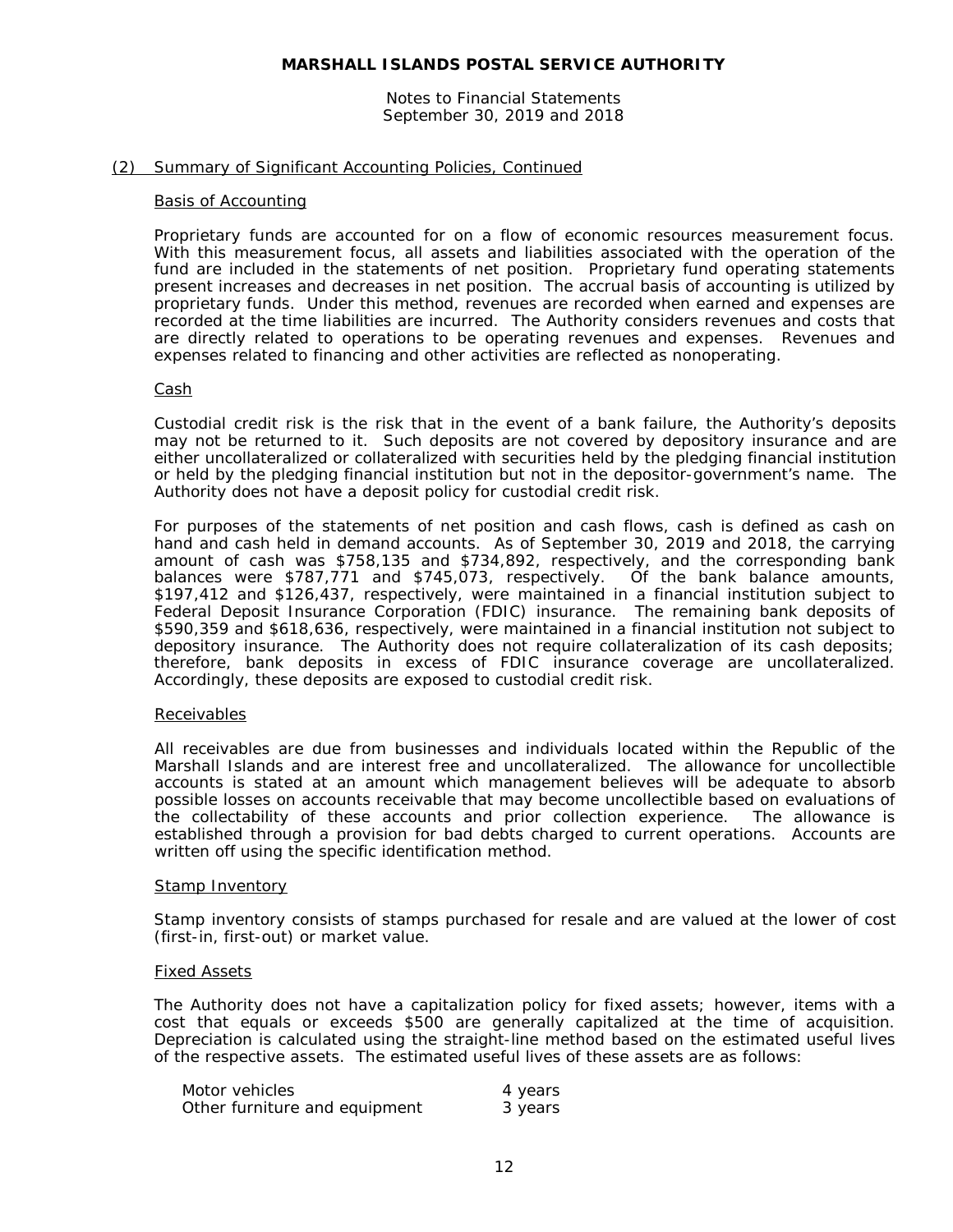Notes to Financial Statements September 30, 2019 and 2018

#### (2) Summary of Significant Accounting Policies, Continued

#### Basis of Accounting

Proprietary funds are accounted for on a flow of economic resources measurement focus. With this measurement focus, all assets and liabilities associated with the operation of the fund are included in the statements of net position. Proprietary fund operating statements present increases and decreases in net position. The accrual basis of accounting is utilized by proprietary funds. Under this method, revenues are recorded when earned and expenses are recorded at the time liabilities are incurred. The Authority considers revenues and costs that are directly related to operations to be operating revenues and expenses. Revenues and expenses related to financing and other activities are reflected as nonoperating.

#### Cash

Custodial credit risk is the risk that in the event of a bank failure, the Authority's deposits may not be returned to it. Such deposits are not covered by depository insurance and are either uncollateralized or collateralized with securities held by the pledging financial institution or held by the pledging financial institution but not in the depositor-government's name. The Authority does not have a deposit policy for custodial credit risk.

For purposes of the statements of net position and cash flows, cash is defined as cash on hand and cash held in demand accounts. As of September 30, 2019 and 2018, the carrying amount of cash was \$758,135 and \$734,892, respectively, and the corresponding bank balances were \$787,771 and \$745,073, respectively. Of the bank balance amounts, \$197,412 and \$126,437, respectively, were maintained in a financial institution subject to Federal Deposit Insurance Corporation (FDIC) insurance. The remaining bank deposits of \$590,359 and \$618,636, respectively, were maintained in a financial institution not subject to depository insurance. The Authority does not require collateralization of its cash deposits; therefore, bank deposits in excess of FDIC insurance coverage are uncollateralized. Accordingly, these deposits are exposed to custodial credit risk.

#### Receivables

All receivables are due from businesses and individuals located within the Republic of the Marshall Islands and are interest free and uncollateralized. The allowance for uncollectible accounts is stated at an amount which management believes will be adequate to absorb possible losses on accounts receivable that may become uncollectible based on evaluations of the collectability of these accounts and prior collection experience. The allowance is established through a provision for bad debts charged to current operations. Accounts are written off using the specific identification method.

#### Stamp Inventory

Stamp inventory consists of stamps purchased for resale and are valued at the lower of cost (first-in, first-out) or market value.

#### Fixed Assets

The Authority does not have a capitalization policy for fixed assets; however, items with a cost that equals or exceeds \$500 are generally capitalized at the time of acquisition. Depreciation is calculated using the straight-line method based on the estimated useful lives of the respective assets. The estimated useful lives of these assets are as follows:

| Motor vehicles                | 4 years |
|-------------------------------|---------|
| Other furniture and equipment | 3 years |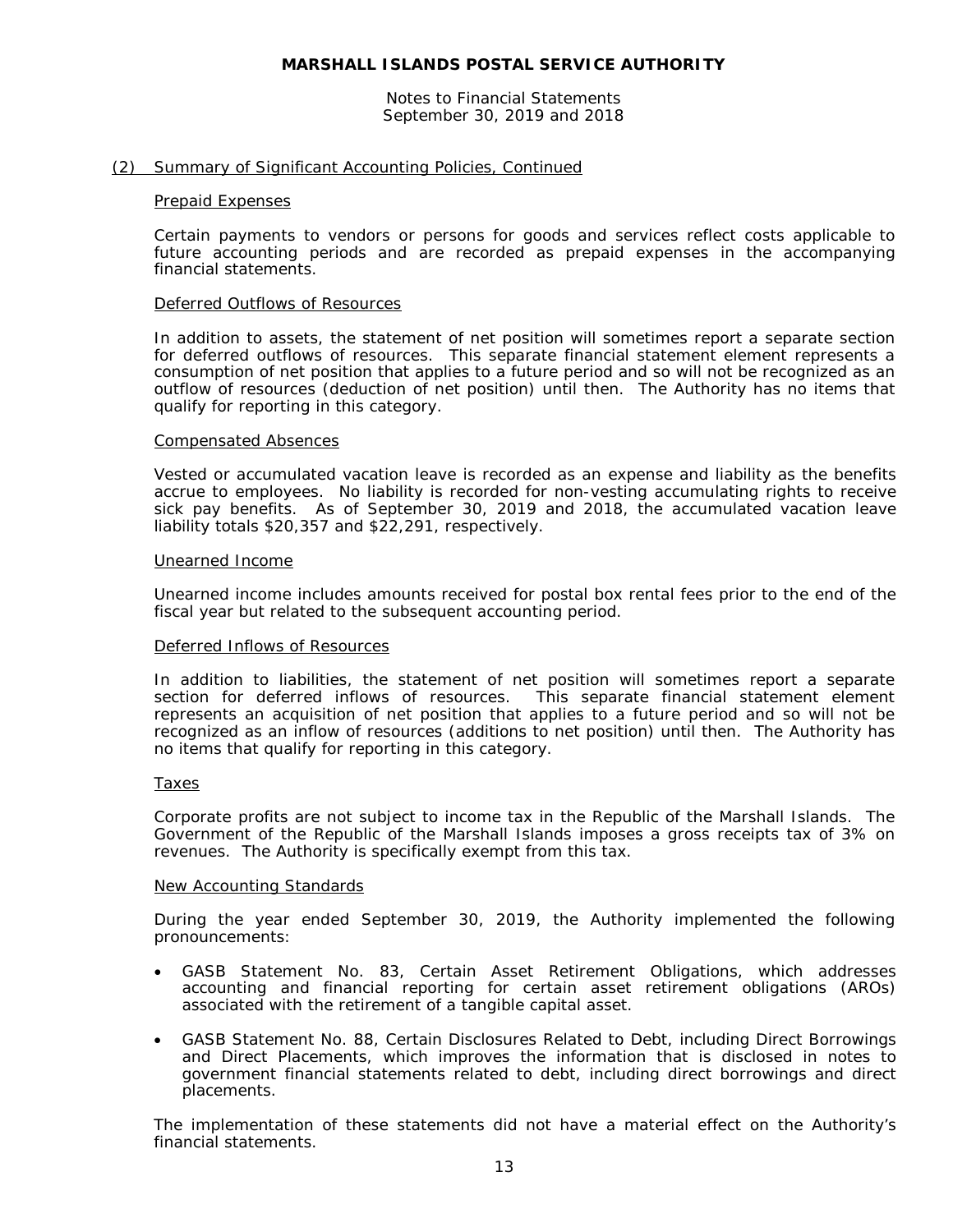Notes to Financial Statements September 30, 2019 and 2018

#### (2) Summary of Significant Accounting Policies, Continued

#### Prepaid Expenses

Certain payments to vendors or persons for goods and services reflect costs applicable to future accounting periods and are recorded as prepaid expenses in the accompanying financial statements.

#### Deferred Outflows of Resources

In addition to assets, the statement of net position will sometimes report a separate section for deferred outflows of resources. This separate financial statement element represents a consumption of net position that applies to a future period and so will not be recognized as an outflow of resources (deduction of net position) until then. The Authority has no items that qualify for reporting in this category.

#### Compensated Absences

Vested or accumulated vacation leave is recorded as an expense and liability as the benefits accrue to employees. No liability is recorded for non-vesting accumulating rights to receive sick pay benefits. As of September 30, 2019 and 2018, the accumulated vacation leave liability totals \$20,357 and \$22,291, respectively.

#### Unearned Income

Unearned income includes amounts received for postal box rental fees prior to the end of the fiscal year but related to the subsequent accounting period.

#### Deferred Inflows of Resources

In addition to liabilities, the statement of net position will sometimes report a separate section for deferred inflows of resources. This separate financial statement element represents an acquisition of net position that applies to a future period and so will not be recognized as an inflow of resources (additions to net position) until then. The Authority has no items that qualify for reporting in this category.

#### Taxes

Corporate profits are not subject to income tax in the Republic of the Marshall Islands. The Government of the Republic of the Marshall Islands imposes a gross receipts tax of 3% on revenues. The Authority is specifically exempt from this tax.

#### New Accounting Standards

During the year ended September 30, 2019, the Authority implemented the following pronouncements:

- GASB Statement No. 83, *Certain Asset Retirement Obligations*, which addresses accounting and financial reporting for certain asset retirement obligations (AROs) associated with the retirement of a tangible capital asset.
- GASB Statement No. 88, *Certain Disclosures Related to Debt, including Direct Borrowings and Direct Placements*, which improves the information that is disclosed in notes to government financial statements related to debt, including direct borrowings and direct placements.

The implementation of these statements did not have a material effect on the Authority's financial statements.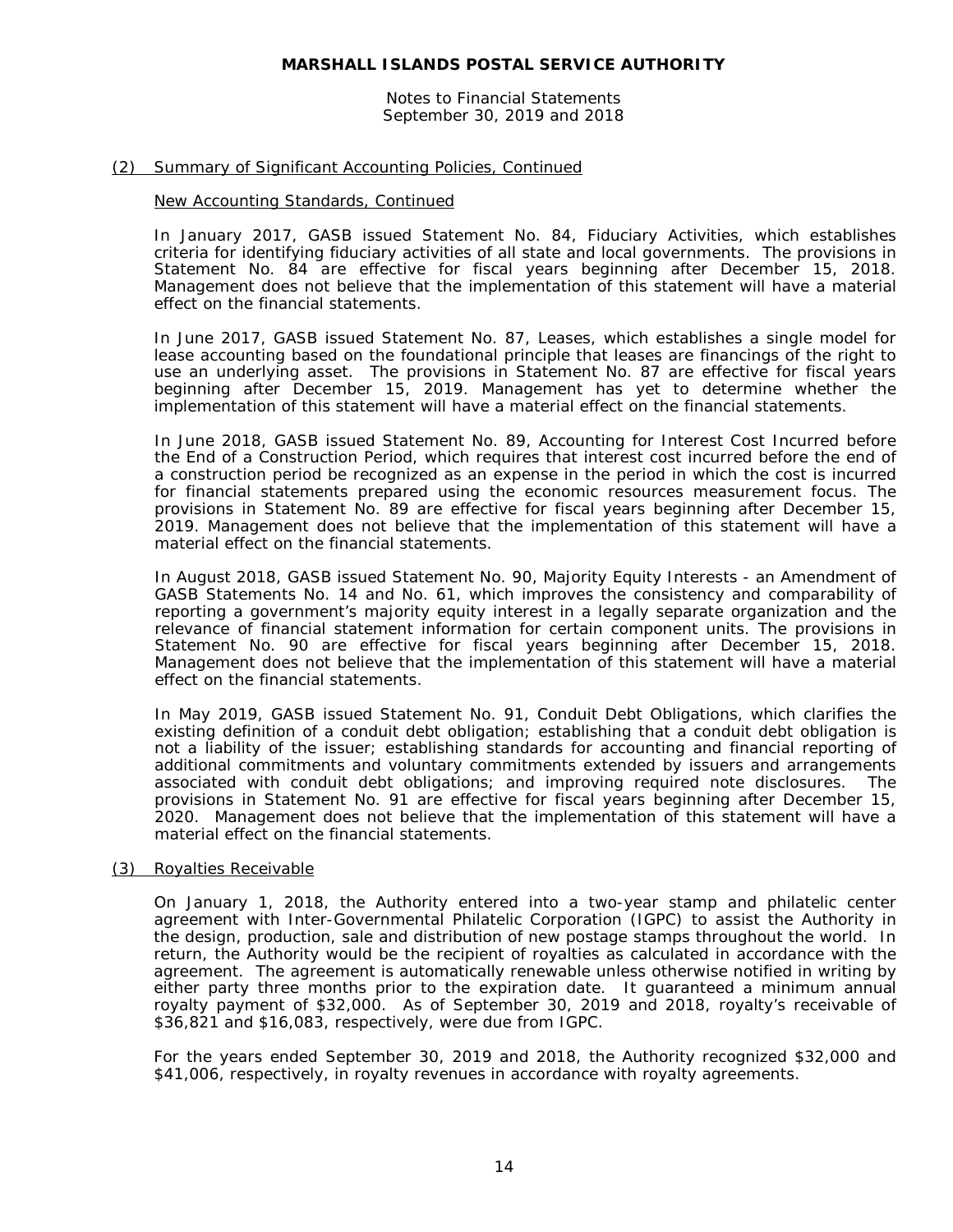Notes to Financial Statements September 30, 2019 and 2018

### (2) Summary of Significant Accounting Policies, Continued

#### New Accounting Standards, Continued

In January 2017, GASB issued Statement No. 84, *Fiduciary Activities*, which establishes criteria for identifying fiduciary activities of all state and local governments. The provisions in Statement No. 84 are effective for fiscal years beginning after December 15, 2018. Management does not believe that the implementation of this statement will have a material effect on the financial statements.

In June 2017, GASB issued Statement No. 87, *Leases*, which establishes a single model for lease accounting based on the foundational principle that leases are financings of the right to use an underlying asset. The provisions in Statement No. 87 are effective for fiscal years beginning after December 15, 2019. Management has yet to determine whether the implementation of this statement will have a material effect on the financial statements.

In June 2018, GASB issued Statement No. 89, *Accounting for Interest Cost Incurred before the End of a Construction Period*, which requires that interest cost incurred before the end of a construction period be recognized as an expense in the period in which the cost is incurred for financial statements prepared using the economic resources measurement focus. The provisions in Statement No. 89 are effective for fiscal years beginning after December 15, 2019. Management does not believe that the implementation of this statement will have a material effect on the financial statements.

In August 2018, GASB issued Statement No. 90, *Majority Equity Interests - an Amendment of GASB Statements No. 14 and No. 61,* which improves the consistency and comparability of reporting a government's majority equity interest in a legally separate organization and the relevance of financial statement information for certain component units. The provisions in Statement No. 90 are effective for fiscal years beginning after December 15, 2018. Management does not believe that the implementation of this statement will have a material effect on the financial statements.

In May 2019, GASB issued Statement No. 91, *Conduit Debt Obligations*, which clarifies the existing definition of a conduit debt obligation; establishing that a conduit debt obligation is not a liability of the issuer; establishing standards for accounting and financial reporting of additional commitments and voluntary commitments extended by issuers and arrangements associated with conduit debt obligations; and improving required note disclosures. The provisions in Statement No. 91 are effective for fiscal years beginning after December 15, 2020. Management does not believe that the implementation of this statement will have a material effect on the financial statements.

#### (3) Royalties Receivable

On January 1, 2018, the Authority entered into a two-year stamp and philatelic center agreement with Inter-Governmental Philatelic Corporation (IGPC) to assist the Authority in the design, production, sale and distribution of new postage stamps throughout the world. In return, the Authority would be the recipient of royalties as calculated in accordance with the agreement. The agreement is automatically renewable unless otherwise notified in writing by either party three months prior to the expiration date. It guaranteed a minimum annual royalty payment of \$32,000. As of September 30, 2019 and 2018, royalty's receivable of \$36,821 and \$16,083, respectively, were due from IGPC.

For the years ended September 30, 2019 and 2018, the Authority recognized \$32,000 and \$41,006, respectively, in royalty revenues in accordance with royalty agreements.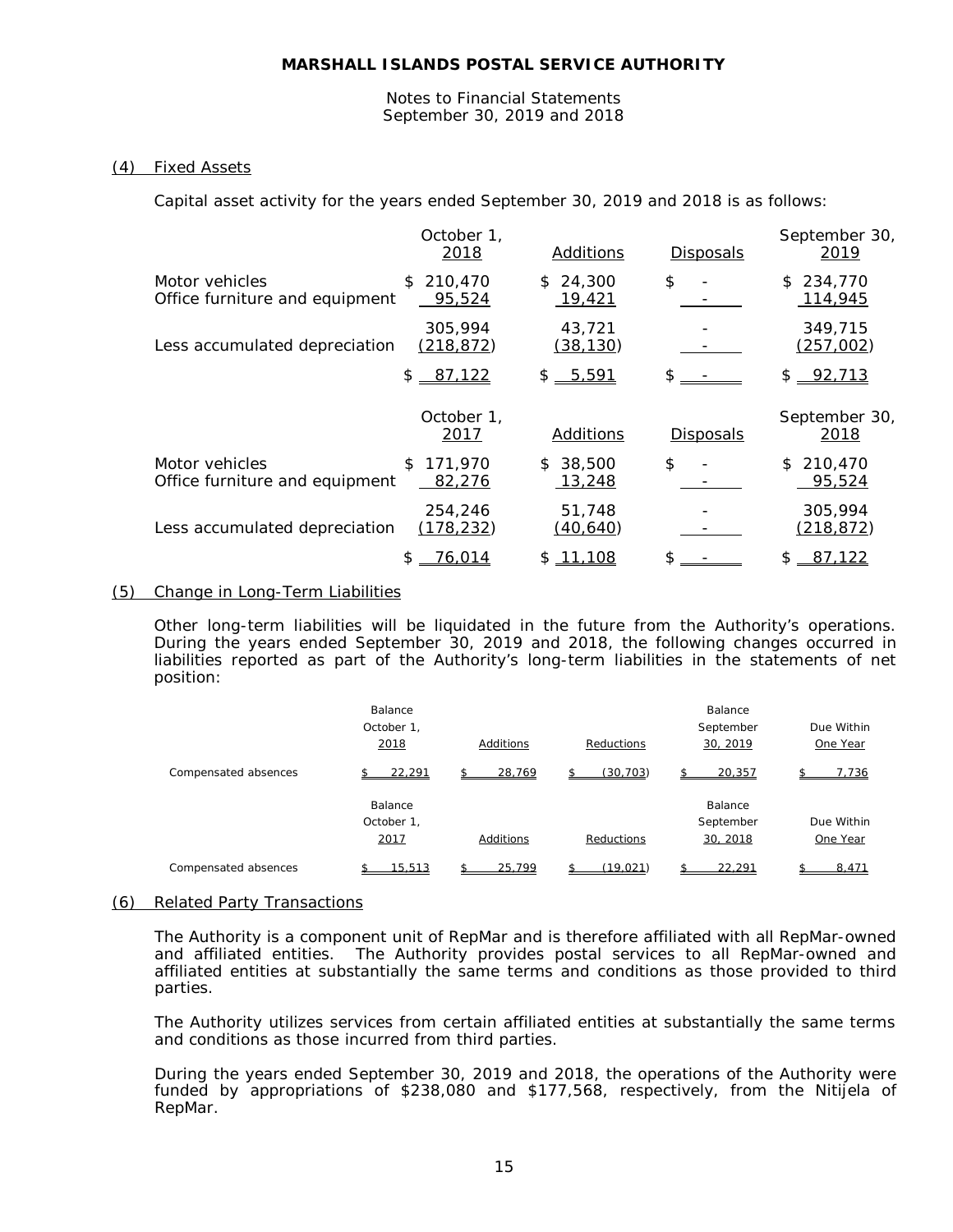#### Notes to Financial Statements September 30, 2019 and 2018

#### (4) Fixed Assets

Capital asset activity for the years ended September 30, 2019 and 2018 is as follows:

|                                                  | October 1,<br>2018       | Additions               | <b>Disposals</b> | September 30,<br>2019     |
|--------------------------------------------------|--------------------------|-------------------------|------------------|---------------------------|
| Motor vehicles<br>Office furniture and equipment | 210,470<br>\$<br>95,524  | 24,300<br>\$.<br>19,421 | \$               | 234,770<br>\$.<br>114,945 |
| Less accumulated depreciation                    | 305,994<br>(218, 872)    | 43,721<br>(38, 130)     |                  | 349,715<br>(257,002)      |
|                                                  | $$ -87,122$              | \$ 5,591                | \$               | $-92,713$<br>\$           |
|                                                  | October 1,<br>2017       | Additions               | <b>Disposals</b> | September 30,<br>2018     |
| Motor vehicles<br>Office furniture and equipment | 171,970<br>\$.<br>82,276 | 38,500<br>\$<br>13,248  | \$               | 210,470<br>\$<br>95,524   |
| Less accumulated depreciation                    | 254,246<br>(178, 232)    | 51,748<br>(40, 640)     |                  | 305,994<br>(218, 872)     |
|                                                  |                          |                         |                  |                           |

#### (5) Change in Long-Term Liabilities

Other long-term liabilities will be liquidated in the future from the Authority's operations. During the years ended September 30, 2019 and 2018, the following changes occurred in liabilities reported as part of the Authority's long-term liabilities in the statements of net position:

|                      | Balance<br>October 1,<br>2018 | Additions | Reductions | Balance<br>September<br>30, 2019 | Due Within<br>One Year |
|----------------------|-------------------------------|-----------|------------|----------------------------------|------------------------|
| Compensated absences | 22.291                        | 28.769    | (30.703)   | 20.357                           | 7.736                  |
|                      | Balance<br>October 1,<br>2017 | Additions | Reductions | Balance<br>September<br>30, 2018 | Due Within<br>One Year |
| Compensated absences | 15,513                        | 25.799    | (19.021)   | 22.291                           | 8.471                  |

# (6) Related Party Transactions

The Authority is a component unit of RepMar and is therefore affiliated with all RepMar-owned and affiliated entities. The Authority provides postal services to all RepMar-owned and affiliated entities at substantially the same terms and conditions as those provided to third parties.

The Authority utilizes services from certain affiliated entities at substantially the same terms and conditions as those incurred from third parties.

During the years ended September 30, 2019 and 2018, the operations of the Authority were funded by appropriations of \$238,080 and \$177,568, respectively, from the Nitijela of RepMar.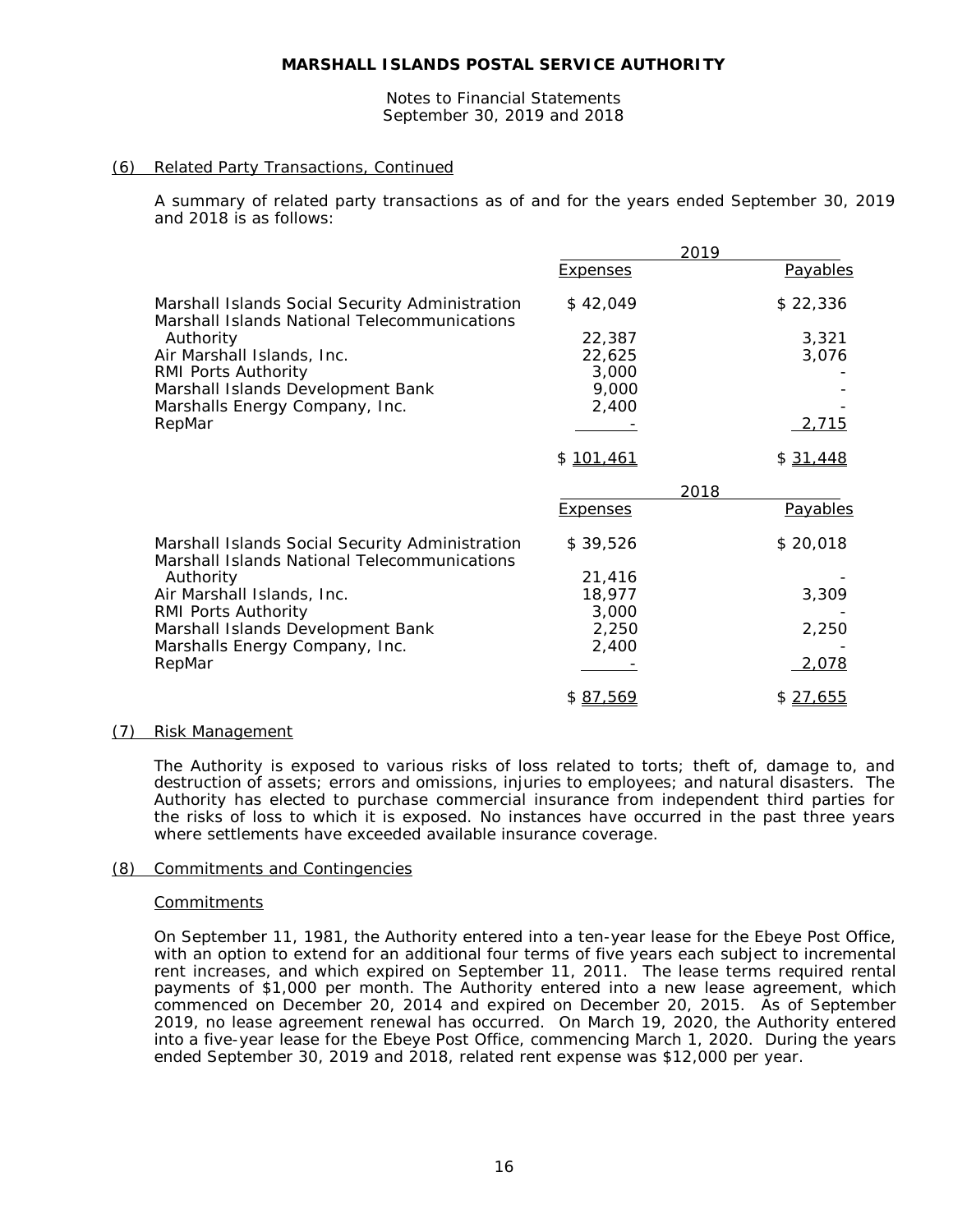#### Notes to Financial Statements September 30, 2019 and 2018

# (6) Related Party Transactions, Continued

A summary of related party transactions as of and for the years ended September 30, 2019 and 2018 is as follows:

|                                                                                                 |                 | 2019      |  |
|-------------------------------------------------------------------------------------------------|-----------------|-----------|--|
|                                                                                                 | <b>Expenses</b> | Payables  |  |
| Marshall Islands Social Security Administration<br>Marshall Islands National Telecommunications | \$42,049        | \$22,336  |  |
| Authority                                                                                       | 22,387          | 3,321     |  |
| Air Marshall Islands, Inc.                                                                      | 22,625          | 3,076     |  |
| RMI Ports Authority                                                                             | 3,000           |           |  |
| Marshall Islands Development Bank                                                               | 9,000           |           |  |
| Marshalls Energy Company, Inc.                                                                  | 2,400           |           |  |
| RepMar                                                                                          |                 | 2,715     |  |
|                                                                                                 | \$101,461       | \$ 31,448 |  |
|                                                                                                 |                 | 2018      |  |
|                                                                                                 | <b>Expenses</b> | Payables  |  |
| Marshall Islands Social Security Administration<br>Marshall Islands National Telecommunications | \$39,526        | \$20,018  |  |
| Authority                                                                                       | 21,416          |           |  |
| Air Marshall Islands, Inc.                                                                      | 18,977          | 3,309     |  |
| RMI Ports Authority                                                                             | 3,000           |           |  |
| Marshall Islands Development Bank                                                               | 2,250           | 2,250     |  |
| Marshalls Energy Company, Inc.                                                                  | 2,400           |           |  |
| RepMar                                                                                          |                 | 2,078     |  |
|                                                                                                 | \$87,569        | \$27,655  |  |

#### (7) Risk Management

The Authority is exposed to various risks of loss related to torts; theft of, damage to, and destruction of assets; errors and omissions, injuries to employees; and natural disasters. The Authority has elected to purchase commercial insurance from independent third parties for the risks of loss to which it is exposed. No instances have occurred in the past three years where settlements have exceeded available insurance coverage.

#### (8) Commitments and Contingencies

#### **Commitments**

On September 11, 1981, the Authority entered into a ten-year lease for the Ebeye Post Office, with an option to extend for an additional four terms of five years each subject to incremental rent increases, and which expired on September 11, 2011. The lease terms required rental payments of \$1,000 per month. The Authority entered into a new lease agreement, which commenced on December 20, 2014 and expired on December 20, 2015. As of September 2019, no lease agreement renewal has occurred. On March 19, 2020, the Authority entered into a five-year lease for the Ebeye Post Office, commencing March 1, 2020. During the years ended September 30, 2019 and 2018, related rent expense was \$12,000 per year.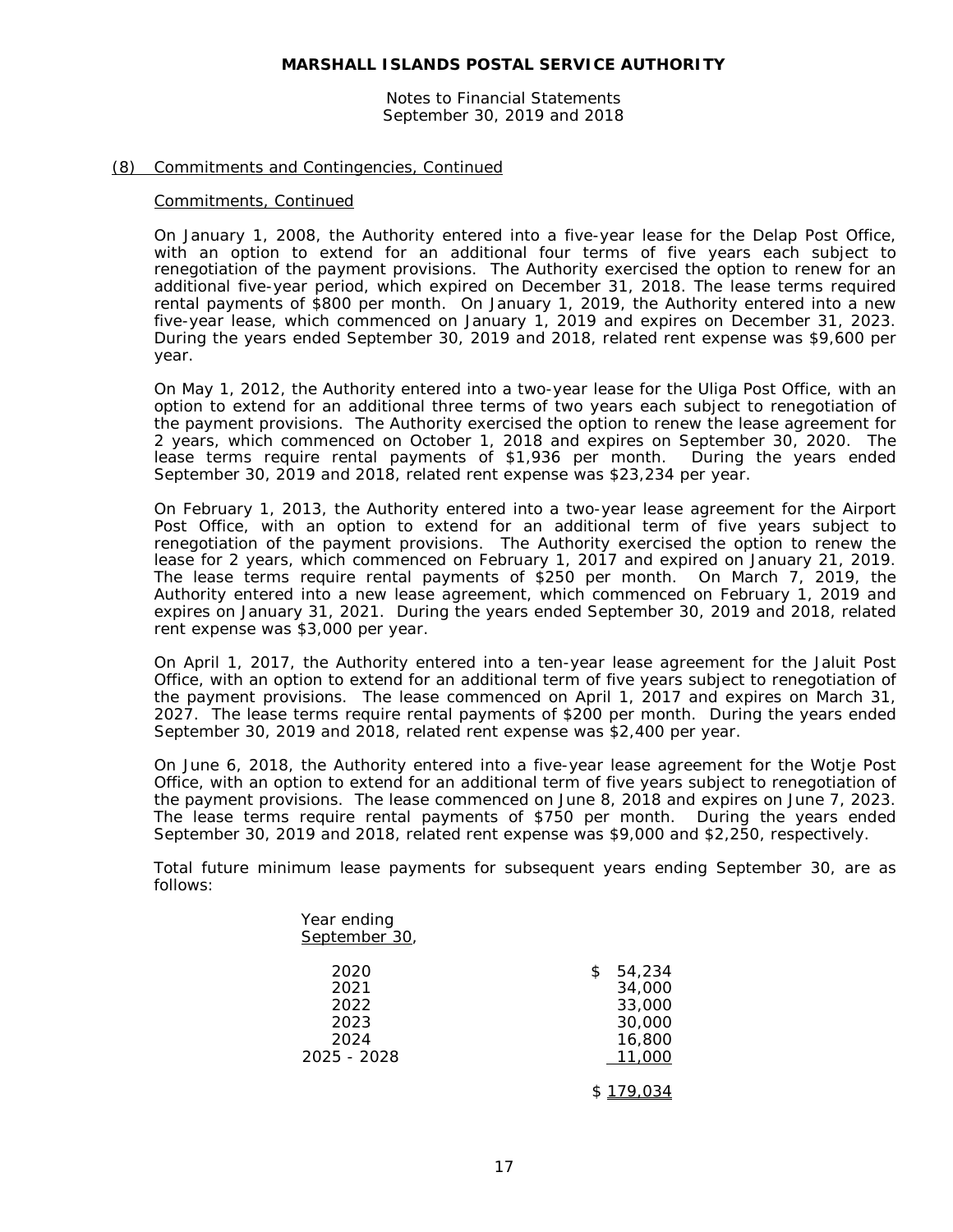Notes to Financial Statements September 30, 2019 and 2018

#### (8) Commitments and Contingencies, Continued

#### Commitments, Continued

On January 1, 2008, the Authority entered into a five-year lease for the Delap Post Office, with an option to extend for an additional four terms of five years each subject to renegotiation of the payment provisions. The Authority exercised the option to renew for an additional five-year period, which expired on December 31, 2018. The lease terms required rental payments of \$800 per month. On January 1, 2019, the Authority entered into a new five-year lease, which commenced on January 1, 2019 and expires on December 31, 2023. During the years ended September 30, 2019 and 2018, related rent expense was \$9,600 per year.

On May 1, 2012, the Authority entered into a two-year lease for the Uliga Post Office, with an option to extend for an additional three terms of two years each subject to renegotiation of the payment provisions. The Authority exercised the option to renew the lease agreement for 2 years, which commenced on October 1, 2018 and expires on September 30, 2020. The lease terms require rental payments of \$1,936 per month. During the years ended September 30, 2019 and 2018, related rent expense was \$23,234 per year.

On February 1, 2013, the Authority entered into a two-year lease agreement for the Airport Post Office, with an option to extend for an additional term of five years subject to renegotiation of the payment provisions. The Authority exercised the option to renew the lease for 2 years, which commenced on February 1, 2017 and expired on January 21, 2019. The lease terms require rental payments of \$250 per month. On March 7, 2019, the Authority entered into a new lease agreement, which commenced on February 1, 2019 and expires on January 31, 2021. During the years ended September 30, 2019 and 2018, related rent expense was \$3,000 per year.

On April 1, 2017, the Authority entered into a ten-year lease agreement for the Jaluit Post Office, with an option to extend for an additional term of five years subject to renegotiation of the payment provisions. The lease commenced on April 1, 2017 and expires on March 31, 2027. The lease terms require rental payments of \$200 per month. During the years ended September 30, 2019 and 2018, related rent expense was \$2,400 per year.

On June 6, 2018, the Authority entered into a five-year lease agreement for the Wotje Post Office, with an option to extend for an additional term of five years subject to renegotiation of the payment provisions. The lease commenced on June 8, 2018 and expires on June 7, 2023. The lease terms require rental payments of \$750 per month. During the years ended September 30, 2019 and 2018, related rent expense was \$9,000 and \$2,250, respectively.

Total future minimum lease payments for subsequent years ending September 30, are as follows:

| Year ending<br>September 30, |              |
|------------------------------|--------------|
| 2020                         | \$<br>54,234 |
| 2021                         | 34,000       |
| 2022                         | 33,000       |
| 2023                         | 30,000       |
| 2024                         | 16,800       |
| 2025 - 2028                  | 11,000       |
|                              | \$179.034    |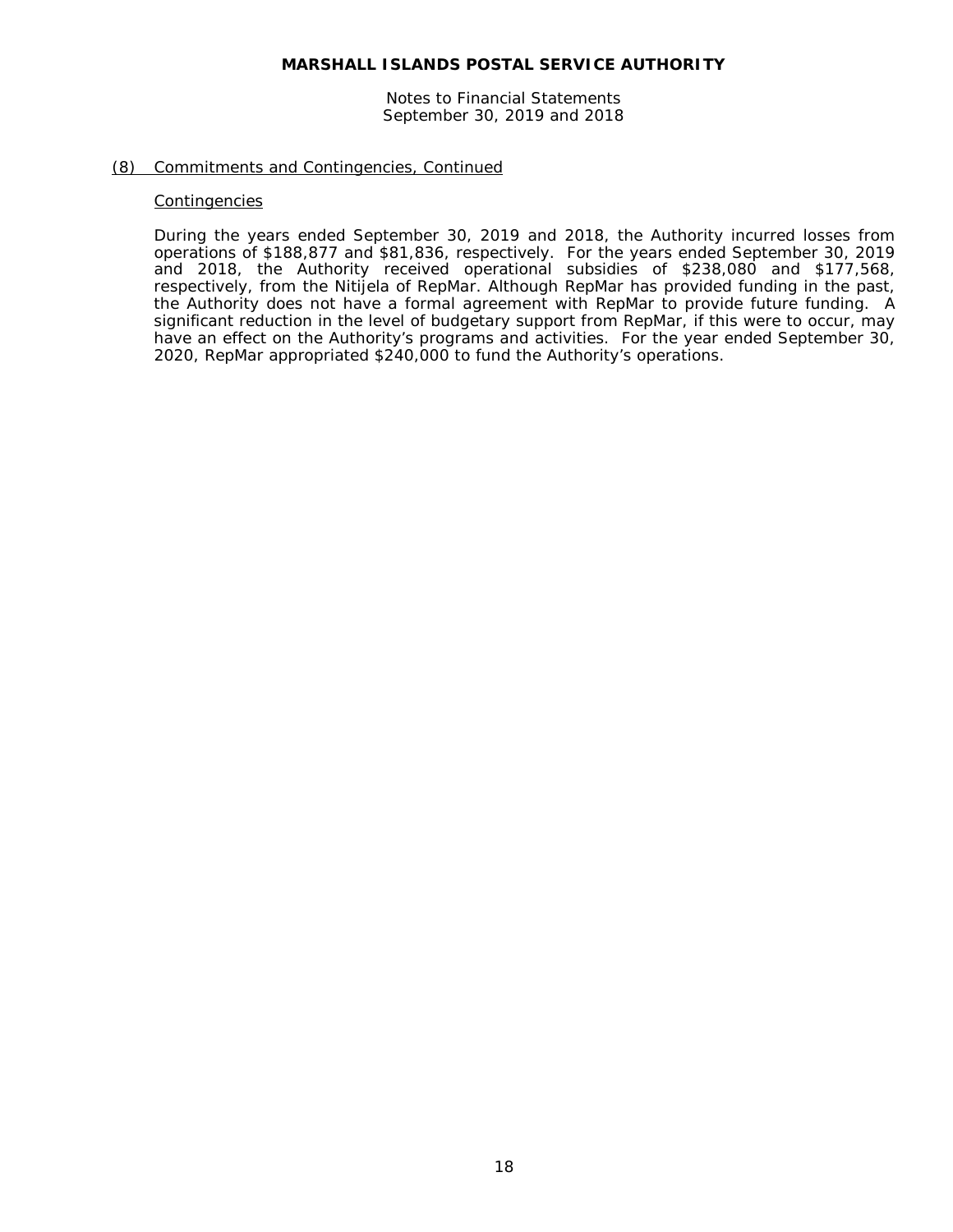Notes to Financial Statements September 30, 2019 and 2018

### (8) Commitments and Contingencies, Continued

#### **Contingencies**

During the years ended September 30, 2019 and 2018, the Authority incurred losses from operations of \$188,877 and \$81,836, respectively. For the years ended September 30, 2019 and 2018, the Authority received operational subsidies of \$238,080 and \$177,568, respectively, from the Nitijela of RepMar. Although RepMar has provided funding in the past, the Authority does not have a formal agreement with RepMar to provide future funding. A significant reduction in the level of budgetary support from RepMar, if this were to occur, may have an effect on the Authority's programs and activities. For the year ended September 30, 2020, RepMar appropriated \$240,000 to fund the Authority's operations.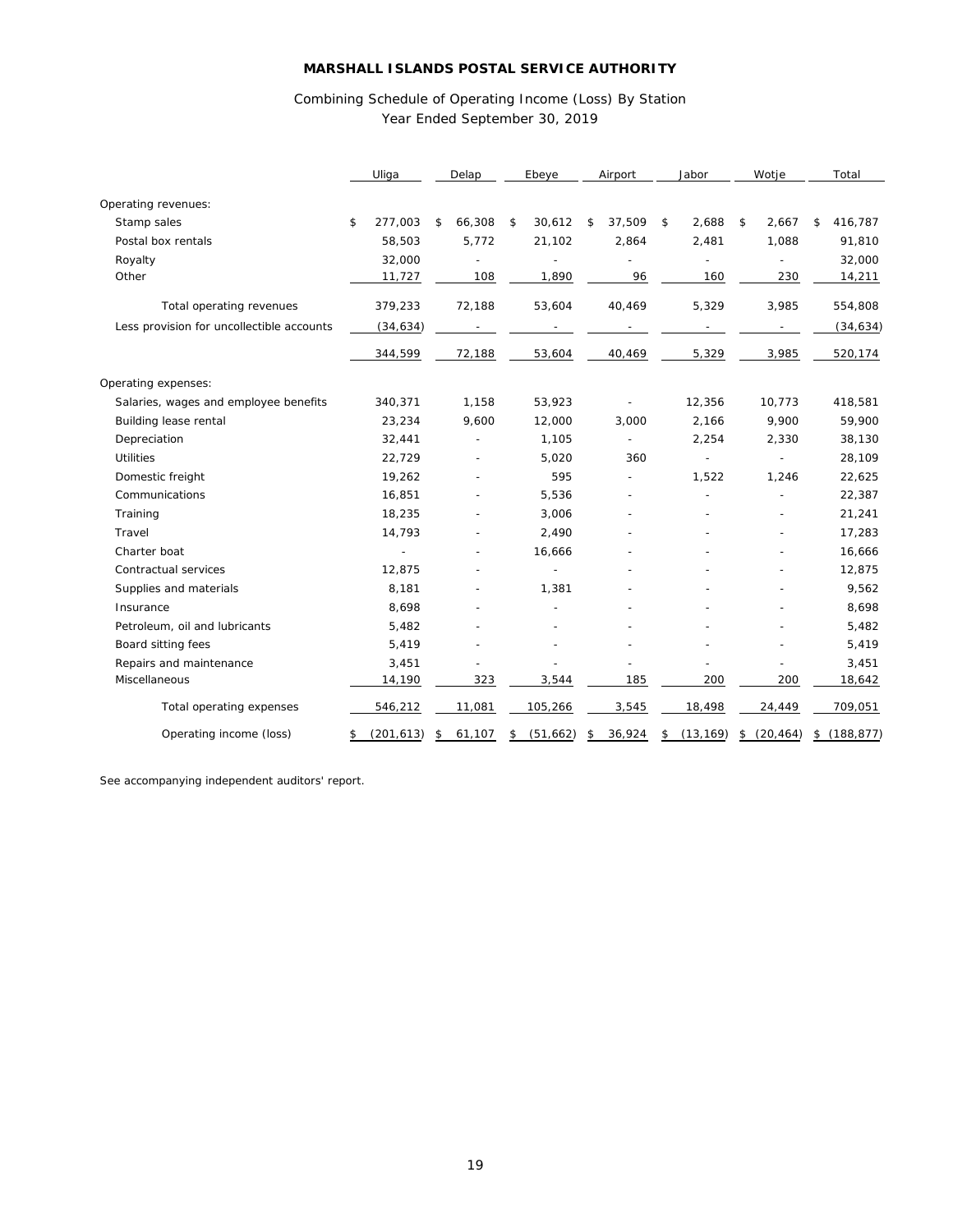# Combining Schedule of Operating Income (Loss) By Station Year Ended September 30, 2019

|                                           | Uliga |            | Delap        |    | Ebeye          |    | Airport |    | Jabor                    |    | Wotje     |    | Total      |
|-------------------------------------------|-------|------------|--------------|----|----------------|----|---------|----|--------------------------|----|-----------|----|------------|
| Operating revenues:                       |       |            |              |    |                |    |         |    |                          |    |           |    |            |
| Stamp sales                               | \$    | 277,003    | \$<br>66,308 | \$ | 30,612         | \$ | 37,509  | \$ | 2,688                    | \$ | 2,667     | \$ | 416,787    |
| Postal box rentals                        |       | 58,503     | 5,772        |    | 21,102         |    | 2,864   |    | 2,481                    |    | 1,088     |    | 91,810     |
| Royalty                                   |       | 32,000     |              |    |                |    |         |    |                          |    |           |    | 32,000     |
| Other                                     |       | 11,727     | 108          |    | 1,890          |    | 96      |    | 160                      |    | 230       |    | 14,211     |
| Total operating revenues                  |       | 379,233    | 72,188       |    | 53,604         |    | 40,469  |    | 5,329                    |    | 3,985     |    | 554,808    |
| Less provision for uncollectible accounts |       | (34, 634)  |              |    |                |    |         |    | $\overline{\phantom{a}}$ |    |           |    | (34, 634)  |
|                                           |       | 344,599    | 72,188       |    | 53,604         |    | 40,469  |    | 5,329                    |    | 3,985     |    | 520,174    |
| Operating expenses:                       |       |            |              |    |                |    |         |    |                          |    |           |    |            |
| Salaries, wages and employee benefits     |       | 340,371    | 1,158        |    | 53,923         |    |         |    | 12,356                   |    | 10,773    |    | 418,581    |
| Building lease rental                     |       | 23,234     | 9,600        |    | 12,000         |    | 3,000   |    | 2,166                    |    | 9,900     |    | 59,900     |
| Depreciation                              |       | 32,441     |              |    | 1,105          |    |         |    | 2,254                    |    | 2,330     |    | 38,130     |
| <b>Utilities</b>                          |       | 22,729     |              |    | 5,020          |    | 360     |    |                          |    |           |    | 28,109     |
| Domestic freight                          |       | 19,262     |              |    | 595            |    |         |    | 1,522                    |    | 1,246     |    | 22,625     |
| Communications                            |       | 16,851     |              |    | 5,536          |    |         |    |                          |    |           |    | 22,387     |
| Training                                  |       | 18,235     |              |    | 3,006          |    |         |    |                          |    |           |    | 21,241     |
| Travel                                    |       | 14,793     |              |    | 2,490          |    |         |    |                          |    |           |    | 17,283     |
| Charter boat                              |       |            |              |    | 16,666         |    |         |    |                          |    |           |    | 16,666     |
| Contractual services                      |       | 12,875     |              |    |                |    |         |    |                          |    |           |    | 12,875     |
| Supplies and materials                    |       | 8,181      |              |    | 1,381          |    |         |    |                          |    |           |    | 9,562      |
| Insurance                                 |       | 8,698      |              |    | $\overline{a}$ |    |         |    |                          |    |           |    | 8,698      |
| Petroleum, oil and lubricants             |       | 5,482      |              |    |                |    |         |    |                          |    |           |    | 5,482      |
| Board sitting fees                        |       | 5,419      |              |    |                |    |         |    |                          |    |           |    | 5,419      |
| Repairs and maintenance                   |       | 3,451      |              |    |                |    |         |    |                          |    |           |    | 3,451      |
| Miscellaneous                             |       | 14,190     | 323          |    | 3,544          |    | 185     |    | 200                      |    | 200       |    | 18,642     |
| Total operating expenses                  |       | 546,212    | 11,081       |    | 105,266        |    | 3,545   |    | 18,498                   |    | 24,449    |    | 709,051    |
| Operating income (loss)                   | \$    | (201, 613) | \$<br>61,107 | \$ | (51,662)       | \$ | 36,924  | \$ | (13, 169)                | \$ | (20, 464) | \$ | (188, 877) |

See accompanying independent auditors' report.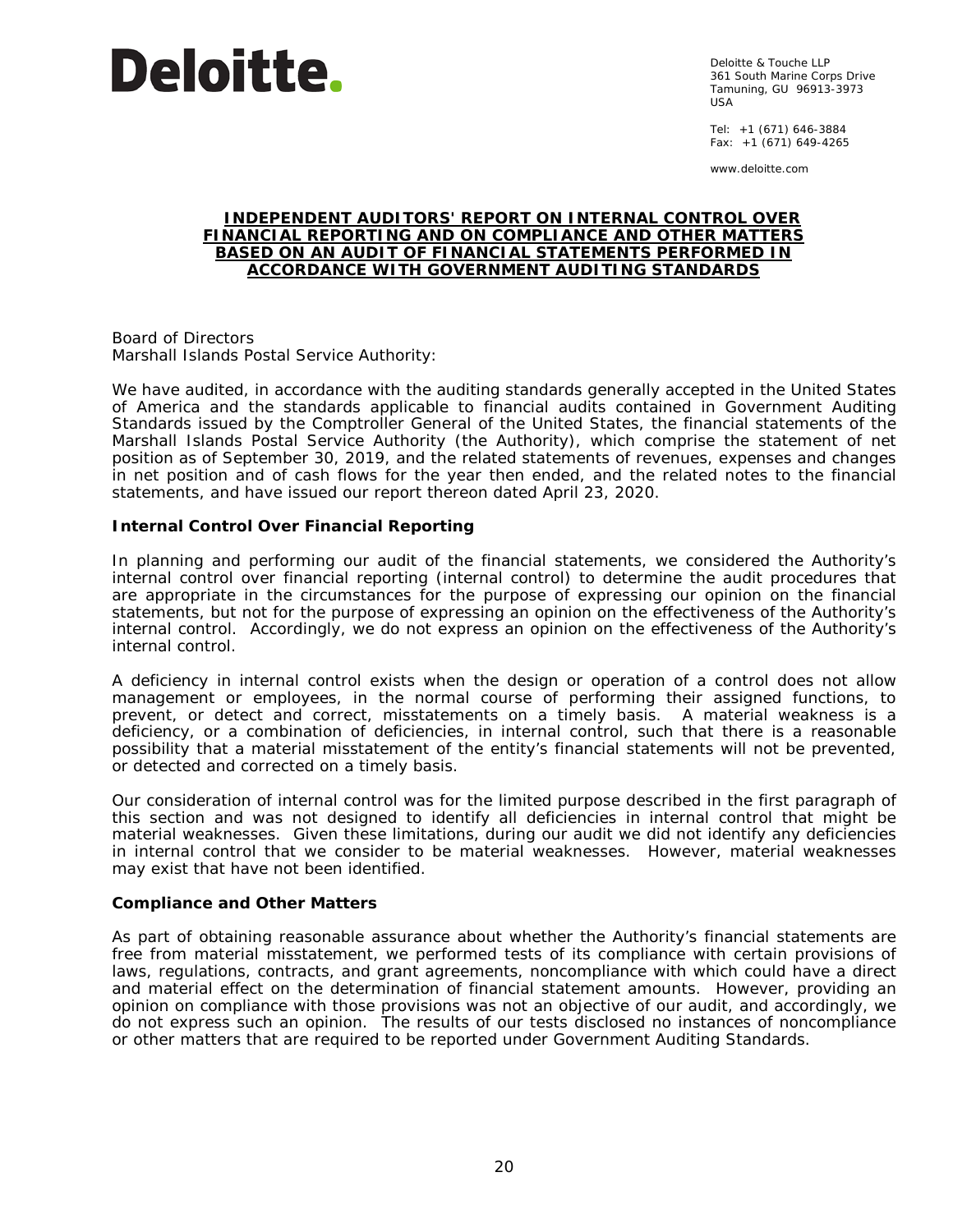

Deloitte & Touche LLP 361 South Marine Corps Drive Tamuning, GU 96913-3973 USA

Tel: +1 (671) 646-3884 Fax: +1 (671) 649-4265

www.deloitte.com

#### **INDEPENDENT AUDITORS' REPORT ON INTERNAL CONTROL OVER FINANCIAL REPORTING AND ON COMPLIANCE AND OTHER MATTERS BASED ON AN AUDIT OF FINANCIAL STATEMENTS PERFORMED IN ACCORDANCE WITH** *GOVERNMENT AUDITING STANDARDS*

Board of Directors Marshall Islands Postal Service Authority:

We have audited, in accordance with the auditing standards generally accepted in the United States of America and the standards applicable to financial audits contained in *Government Auditing Standards* issued by the Comptroller General of the United States, the financial statements of the Marshall Islands Postal Service Authority (the Authority), which comprise the statement of net position as of September 30, 2019, and the related statements of revenues, expenses and changes in net position and of cash flows for the year then ended, and the related notes to the financial statements, and have issued our report thereon dated April 23, 2020.

# **Internal Control Over Financial Reporting**

In planning and performing our audit of the financial statements, we considered the Authority's internal control over financial reporting (internal control) to determine the audit procedures that are appropriate in the circumstances for the purpose of expressing our opinion on the financial statements, but not for the purpose of expressing an opinion on the effectiveness of the Authority's internal control. Accordingly, we do not express an opinion on the effectiveness of the Authority's internal control.

A *deficiency in internal control* exists when the design or operation of a control does not allow management or employees, in the normal course of performing their assigned functions, to prevent, or detect and correct, misstatements on a timely basis. A *material weakness* is a deficiency, or a combination of deficiencies, in internal control, such that there is a reasonable possibility that a material misstatement of the entity's financial statements will not be prevented, or detected and corrected on a timely basis.

Our consideration of internal control was for the limited purpose described in the first paragraph of this section and was not designed to identify all deficiencies in internal control that might be material weaknesses. Given these limitations, during our audit we did not identify any deficiencies in internal control that we consider to be material weaknesses. However, material weaknesses may exist that have not been identified.

#### **Compliance and Other Matters**

As part of obtaining reasonable assurance about whether the Authority's financial statements are free from material misstatement, we performed tests of its compliance with certain provisions of laws, regulations, contracts, and grant agreements, noncompliance with which could have a direct and material effect on the determination of financial statement amounts. However, providing an opinion on compliance with those provisions was not an objective of our audit, and accordingly, we do not express such an opinion. The results of our tests disclosed no instances of noncompliance or other matters that are required to be reported under *Government Auditing Standards.*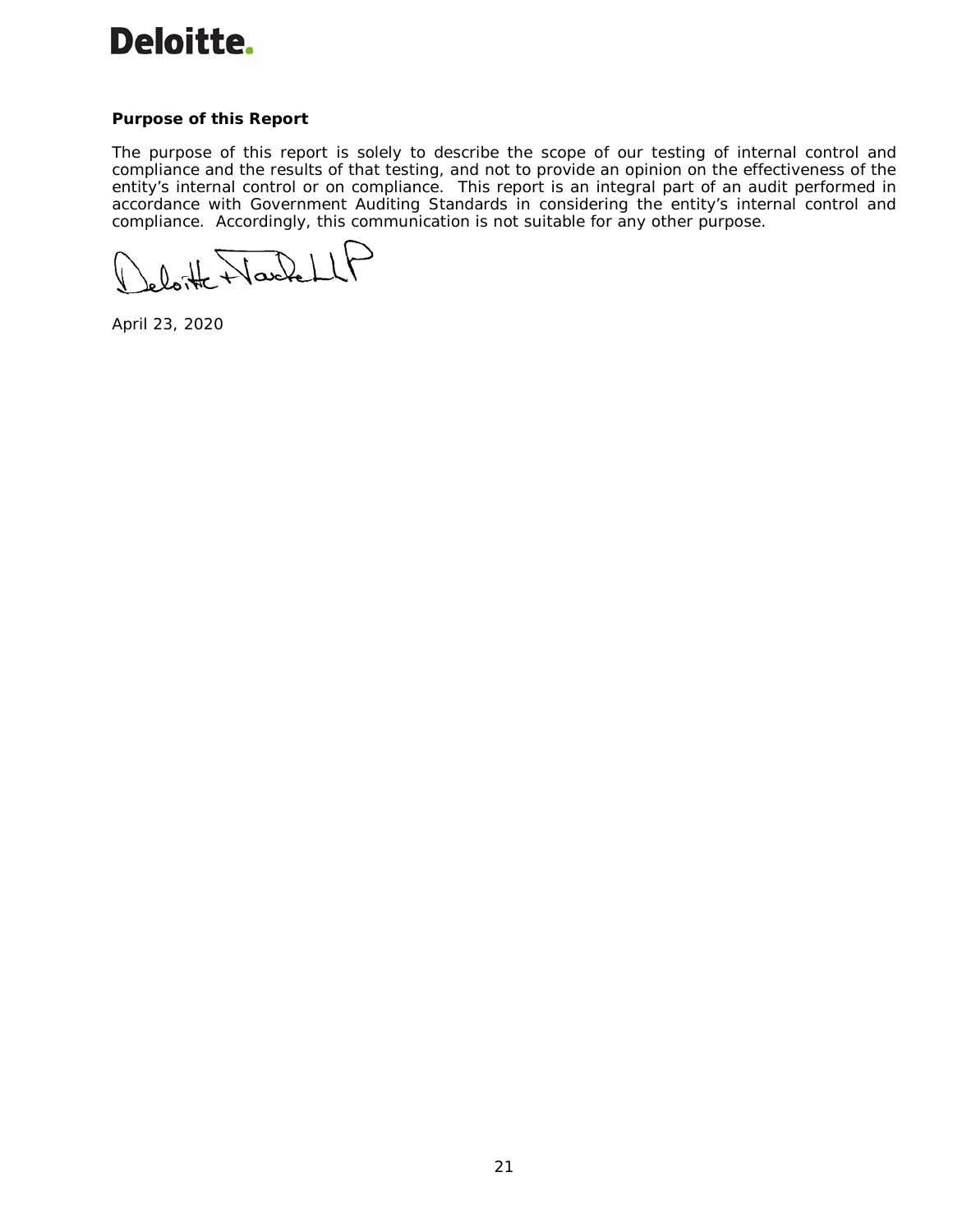

# **Purpose of this Report**

The purpose of this report is solely to describe the scope of our testing of internal control and compliance and the results of that testing, and not to provide an opinion on the effectiveness of the entity's internal control or on compliance. This report is an integral part of an audit performed in accordance with *Government Auditing Standards* in considering the entity's internal control and compliance. Accordingly, this communication is not suitable for any other purpose.

Harlet

April 23, 2020